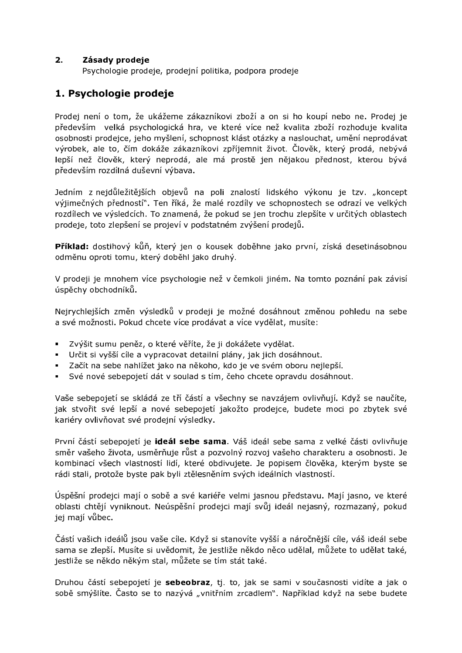#### $2.$ Zásady prodeje

Psychologie prodeje, prodejní politika, podpora prodeje

# 1. Psychologie prodeje

Prodej není o tom, že ukážeme zákazníkovi zboží a on si ho koupí nebo ne. Prodej je především velká psychologická hra, ve které více než kvalita zboží rozhoduje kvalita osobnosti prodejce, jeho myšlení, schopnost klást otázky a naslouchat, umění neprodávat výrobek, ale to, čím dokáže zákazníkovi zpříjemnit život. Člověk, který prodá, nebývá lepší než člověk, který neprodá, ale má prostě jen nějakou přednost, kterou bývá především rozdílná duševní výbava.

Jedním z nejdůležitějších objevů na poli znalostí lidského výkonu je tzv. "koncept výjimečných předností". Ten říká, že malé rozdíly ve schopnostech se odrazí ve velkých rozdílech ve výsledcích. To znamená, že pokud se jen trochu zlepšíte v určitých oblastech prodeje, toto zlepšení se projeví v podstatném zvýšení prodejů.

Příklad: dostihový kůň, který jen o kousek doběhne jako první, získá desetinásobnou odměnu oproti tomu, který doběhl jako druhý.

V prodeji je mnohem více psychologie než v čemkoli jiném. Na tomto poznání pak závisí úspěchy obchodníků.

Nejrychlejších změn výsledků v prodeji je možné dosáhnout změnou pohledu na sebe a své možnosti. Pokud chcete více prodávat a více vydělat, musíte:

- · Zvýšit sumu peněz, o které věříte, že ji dokážete vydělat.
- · Určit si vyšší cíle a vypracovat detailní plány, jak jich dosáhnout.
- Začít na sebe nahlížet jako na někoho, kdo je ve svém oboru nejlepší.
- Své nové sebepojetí dát v soulad s tím, čeho chcete opravdu dosáhnout.

Vaše sebepojetí se skládá ze tří částí a všechny se navzájem ovlivňují. Když se naučíte, jak stvořit své lepší a nové sebepojetí jakožto prodejce, budete moci po zbytek své kariéry ovlivňovat své prodejní výsledky.

První částí sebepojetí je ideál sebe sama. Váš ideál sebe sama z velké části ovlivňuje směr vašeho života, usměrňuje růst a pozvolný rozvoj vašeho charakteru a osobnosti. Je kombinací všech vlastností lidí, které obdivujete. Je popisem člověka, kterým byste se rádi stali, protože byste pak byli ztělesněním svých ideálních vlastností.

Úspěšní prodejci mají o sobě a své kariéře velmi jasnou představu. Mají jasno, ve které oblasti chtějí vyniknout. Neúspěšní prodejci mají svůj ideál nejasný, rozmazaný, pokud jej mají vůbec.

Částí vašich ideálů jsou vaše cíle. Když si stanovíte vyšší a náročnější cíle, váš ideál sebe sama se zlepší. Musíte si uvědomit, že jestliže někdo něco udělal, můžete to udělat také, jestliže se někdo někým stal, můžete se tím stát také.

Druhou částí sebepojetí je sebeobraz, tj. to, jak se sami v současnosti vidíte a jak o sobě smýšlíte. Často se to nazývá "vnitřním zrcadlem". Například když na sebe budete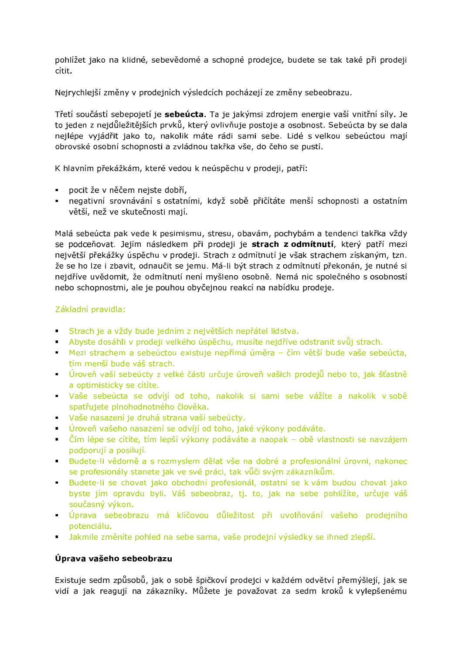pohlížet jako na klidné, sebevědomé a schopné prodejce, budete se tak také při prodeji cítit.

Nejrychlejší změny v prodejních výsledcích pocházejí ze změny sebeobrazu.

Třetí součástí sebepojetí je sebeúcta. Ta je jakýmsi zdrojem energie vaší vnitřní síly. Je to jeden z nejdůležitějších prvků, který ovlivňuje postoje a osobnost. Sebeúcta by se dala nejlépe vyjádřit jako to, nakolik máte rádi sami sebe. Lidé s velkou sebeúctou mají obrovské osobní schopnosti a zvládnou takřka vše, do čeho se pustí.

K hlavním překážkám, které vedou k neúspěchu v prodeji, patří:

- · pocit že v něčem nejste dobří,
- negativní srovnávání s ostatními, když sobě přičítáte menší schopnosti a ostatním větší, než ve skutečnosti mají.

Malá sebeúcta pak vede k pesimismu, stresu, obavám, pochybám a tendenci takřka vždy se podceňovat. Jejím následkem při prodeji je strach z odmítnutí, který patří mezi největší překážky úspěchu v prodeji. Strach z odmítnutí je však strachem získaným, tzn. že se ho lze i zbavit, odnaučit se jemu. Má-li být strach z odmítnutí překonán, je nutné si nejdříve uvědomit, že odmítnutí není myšleno osobně. Nemá nic společného s osobností nebo schopnostmi, ale je pouhou obyčejnou reakcí na nabídku prodeje.

# Základní pravidla:

- Strach je a vždy bude jedním z největších nepřátel lidstva.
- Abyste dosáhli v prodeji velkého úspěchu, musíte nejdříve odstranit svůj strach.
- Nezi strachem a sebeúctou existuje nepřímá úměra čím větší bude vaše sebeúcta, tím menší bude váš strach.
- · Úroveň vaší sebeúcty z velké části určuje úroveň vašich prodejů nebo to, jak šťastně a optimisticky se cítíte.
- Vaše sebeúcta se odvíjí od toho, nakolik si sami sebe vážíte a nakolik v sobě spatřujete plnohodnotného člověka.
- Vaše nasazení je druhá strana vaší sebeúcty.
- · Úroveň vašeho nasazení se odvíjí od toho, jaké výkony podáváte.
- Čím lépe se cítíte, tím lepší výkony podáváte a naopak obě vlastnosti se navzájem podporují a posilují.
- Budete-li vědomě a s rozmyslem dělat vše na dobré a profesionální úrovni, nakonec se profesionály stanete jak ve své práci, tak vůči svým zákazníkům.
- · Budete-li se chovat jako obchodní profesionál, ostatní se k vám budou chovat jako byste jím opravdu byli. Váš sebeobraz, tj. to, jak na sebe pohlížíte, určuje váš současný výkon.
- · Úprava sebeobrazu má klíčovou důležitost při uvolňování vašeho prodejního potenciálu.
- · Jakmile změníte pohled na sebe sama, vaše prodejní výsledky se ihned zlepší.

# Úprava vašeho sebeobrazu

Existuje sedm způsobů, jak o sobě špičkoví prodejci v každém odvětví přemýšlejí, jak se vidí a jak reagují na zákazníky. Můžete je považovat za sedm kroků k vylepšenému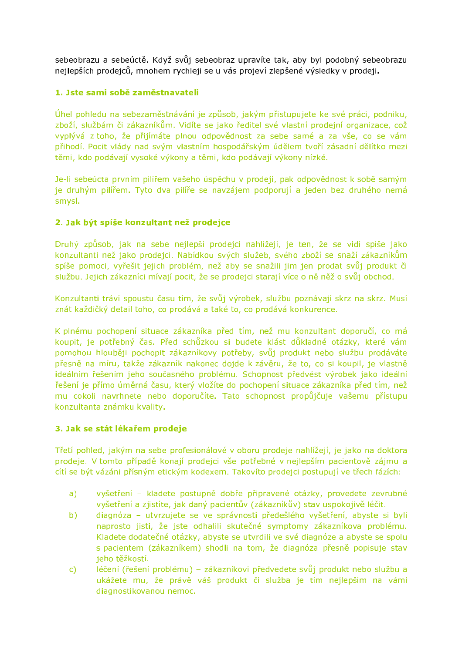sebeobrazu a sebeúctě. Když svůj sebeobraz upravíte tak, aby byl podobný sebeobrazu nejlepších prodejců, mnohem rychleji se u vás projeví zlepšené výsledky v prodeji.

# 1. Jste sami sobě zaměstnavateli

Úhel pohledu na sebezaměstnávání je způsob, jakým přistupujete ke své práci, podniku, zboží, službám či zákazníkům. Vidíte se jako ředitel své vlastní prodejní organizace, což vyplývá z toho, že přijímáte plnou odpovědnost za sebe samé a za vše, co se vám přihodí. Pocit vlády nad svým vlastním hospodářským údělem tvoří zásadní dělítko mezi těmi, kdo podávají vysoké výkony a těmi, kdo podávají výkony nízké.

Je-li sebeúcta prvním pilířem vašeho úspěchu v prodeji, pak odpovědnost k sobě samým je druhým pilířem. Tyto dva pilíře se navzájem podporují a jeden bez druhého nemá smysl.

# 2. Jak být spíše konzultant než prodejce

Druhý způsob, jak na sebe nejlepší prodejci nahlížejí, je ten, že se vidí spíše jako konzultanti než jako prodejci. Nabídkou svých služeb, svého zboží se snaží zákazníkům spíše pomoci, vyřešit jejich problém, než aby se snažili jim jen prodat svůj produkt či službu. Jejich zákazníci mívají pocit, že se prodejci starají více o ně něž o svůj obchod.

Konzultanti tráví spoustu času tím, že svůj výrobek, službu poznávají skrz na skrz. Musí znát každičký detail toho, co prodává a také to, co prodává konkurence.

K plnému pochopení situace zákazníka před tím, než mu konzultant doporučí, co má koupit, je potřebný čas. Před schůzkou si budete klást důkladné otázky, které vám pomohou hlouběji pochopit zákazníkovy potřeby, svůj produkt nebo službu prodáváte přesně na míru, takže zákazník nakonec dojde k závěru, že to, co si koupil, je vlastně ideálním řešením jeho současného problému. Schopnost předvést výrobek jako ideální řešení je přímo úměrná času, který vložíte do pochopení situace zákazníka před tím, než mu cokoli navrhnete nebo doporučíte. Tato schopnost propůjčuje vašemu přístupu konzultanta známku kvality.

### 3. Jak se stát lékařem prodeje

Třetí pohled, jakým na sebe profesionálové v oboru prodeje nahlížejí, je jako na doktora prodeje. V tomto případě konají prodejci vše potřebné v nejlepším pacientově zájmu a cítí se být vázáni přísným etickým kodexem. Takovíto prodejci postupují ve třech fázích:

- vyšetření kladete postupně dobře připravené otázky, provedete zevrubné  $\mathsf{a}$ vyšetření a zjistíte, jak daný pacientův (zákazníkův) stav uspokojivě léčit.
- diagnóza utvrzujete se ve správnosti předešlého vyšetření, abyste si byli  $b)$ naprosto jisti, že jste odhalili skutečné symptomy zákazníkova problému. Kladete dodatečné otázky, abyste se utvrdili ve své diagnóze a abyste se spolu s pacientem (zákazníkem) shodli na tom, že diagnóza přesně popisuje stav jeho těžkostí.
- léčení (řešení problému) zákazníkovi předvedete svůj produkt nebo službu a  $\mathsf{C}$ ukážete mu, že právě váš produkt či služba je tím nejlepším na vámi diagnostikovanou nemoc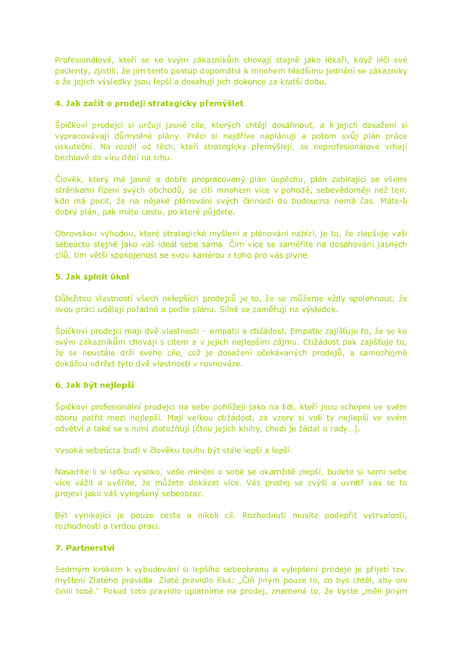Profesionálové, kteří se ke svým zákazníkům chovají stejně jako lékaři, když léčí své pacienty, zjistili, že jim tento postup dopomáhá k mnohem hladšímu jednání se zákazníky a že jejich výsledky jsou lepší a dosahují jich dokonce za kratší dobu.

# 4. Jak začít o prodeji strategicky přemýšlet

Špičkoví prodejci si určují jasné cíle, kterých chtějí dosáhnout, a k jejich dosažení si vypracovávají důmyslné plány. Práci si nejdříve naplánují a potom svůj plán práce uskuteční. Na rozdíl od těch, kteří strategicky přemýšlejí, se neprofesionálové vrhají bezhlavě do víru dění na trhu.

Člověk, který má jasně a dobře propracovaný plán úspěchu, plán zabírající se všemi stránkami řízení svých obchodů, se cítí mnohem více v pohodě, sebevědoměji než ten, kdo má pocit, že na nějaké plánování svých činností do budoucna nemá čas. Máte-li dobrý plán, pak máte cestu, po které půjdete.

Obrovskou výhodou, které strategické myšlení a plánování nabízí, je to, že zlepšuje vaši sebeúctu stejně jako váš ideál sebe sama. Čím více se zaměříte na dosahování jasných cílů, tím větší spokojenost se svou kariérou z toho pro vás plyne.

# 5. Jak splnit úkol

Důležitou vlastností všech nelepších prodejců je to, že se můžeme vždy spolehnout, že svou práci udělají pořádně a podle plánu. Silně se zaměřují na výsledek.

Špičkoví prodejci mají dvě vlastnosti – empatii a ctižádost. Empatie zajišťuje to, že se ke svým zákazníkům chovají s citem a v jejich nejlepším zájmu. Ctižádost pak zajišťuje to, že se neustále drží svého cíle, což je dosažení očekávaných prodejů, a samozřejmě dokážou udržet tyto dvě vlastnosti v rovnováze.

### 6. Jak být nejlepší

Špičkoví profesionální prodejci na sebe pohlížejí jako na lidi, kteří jsou schopni ve svém oboru patřit mezi nejlepší. Mají velkou ctižádost, za vzory si volí ty nejlepší ve svém odvětví a také se s nimi ztotožňují (čtou jejich knihy, chodí je žádat o rady...).

Vysoká sebeúcta budí v člověku touhu být stále lepší a lepší.

Nasadíte-li si laťku vysoko, vaše mínění o sobě se okamžitě zlepší, budete si sami sebe více vážit a uvěříte, že můžete dokázat více. Vás prodej se zvýší a uvnitř vás se to projeví jako váš vylepšený sebeobraz.

Být vynikající je pouze cesta a nikoli cíl. Rozhodnutí musíte podepřít vytrvalostí, rozhodností a tvrdou prací.

# 7. Partnerství

Sedmým krokem k vybudování si lepšího sebeobranu a vylepšení prodeje je přijetí tzv. myšlení Zlatého pravidla. Zlaté pravidlo říká: "Čiň jiným pouze to, co bys chtěl, aby oni činili tobě." Pokud toto pravidlo uplatníme na prodej, znamená to, že byste "měli jiným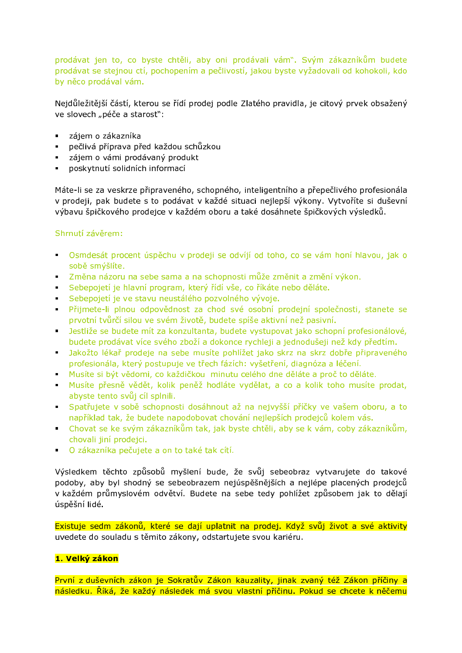prodávat jen to, co byste chtěli, aby oni prodávali vám". Svým zákazníkům budete prodávat se stejnou ctí, pochopením a pečlivostí, jakou byste vyžadovali od kohokoli, kdo by něco prodával vám.

Nejdůležitější částí, kterou se řídí prodej podle Zlatého pravidla, je citový prvek obsažený ve slovech "péče a starosť":

- · zájem o zákazníka
- pečlivá příprava před každou schůzkou
- · zájem o vámi prodávaný produkt
- · poskytnutí solidních informací

Máte-li se za veskrze připraveného, schopného, inteligentního a přepečlivého profesionála v prodeji, pak budete s to podávat v každé situaci nejlepší výkony. Vytvoříte si duševní výbavu špičkového prodejce v každém oboru a také dosáhnete špičkových výsledků.

### Shrnutí závěrem:

- · Osmdesát procent úspěchu v prodeji se odvíjí od toho, co se vám honí hlavou, jak o sobě smýšlíte.
- · Změna názoru na sebe sama a na schopnosti může změnit a změní výkon.
- · Sebepojetí je hlavní program, který řídí vše, co říkáte nebo děláte.
- · Sebepojetí je ve stavu neustálého pozvolného vývoje.
- · Přijmete-li plnou odpovědnost za chod své osobní prodejní společnosti, stanete se prvotní tvůrčí silou ve svém životě, budete spíše aktivní než pasivní.
- · Jestliže se budete mít za konzultanta, budete vystupovat jako schopní profesionálové, budete prodávat více svého zboží a dokonce rychleji a jednodušeji než kdy předtím.
- Jakožto lékař prodeje na sebe musíte pohlížet jako skrz na skrz dobře připraveného profesionála, který postupuje ve třech fázích: vyšetření, diagnóza a léčení.
- Musíte si být vědomi, co každičkou minutu celého dne děláte a proč to děláte.
- Musíte přesně vědět, kolik peněž hodláte vydělat, a co a kolik toho musíte prodat, abyste tento svůj cíl splnili.
- · Spatřujete v sobě schopnosti dosáhnout až na nejvyšší příčky ve vašem oboru, a to například tak, že budete napodobovat chování nejlepších prodejců kolem vás.
- Chovat se ke svým zákazníkům tak, jak byste chtěli, aby se k vám, coby zákazníkům, chovali jiní prodejci.
- O zákazníka pečujete a on to také tak cítí.

Výsledkem těchto způsobů myšlení bude, že svůj sebeobraz vytvarujete do takové podoby, aby byl shodný se sebeobrazem nejúspěšnějších a nejlépe placených prodejců v každém průmyslovém odvětví. Budete na sebe tedy pohlížet způsobem jak to dělají úspěšní lidé.

Existuje sedm zákonů, které se dají uplatnit na prodej. Když svůj život a své aktivity uvedete do souladu s těmito zákony, odstartujete svou kariéru.

# 1. Velký zákon

První z duševních zákon je Sokratův Zákon kauzality, jinak zvaný též Zákon příčiny a následku. Říká, že každý následek má svou vlastní příčinu. Pokud se chcete k něčemu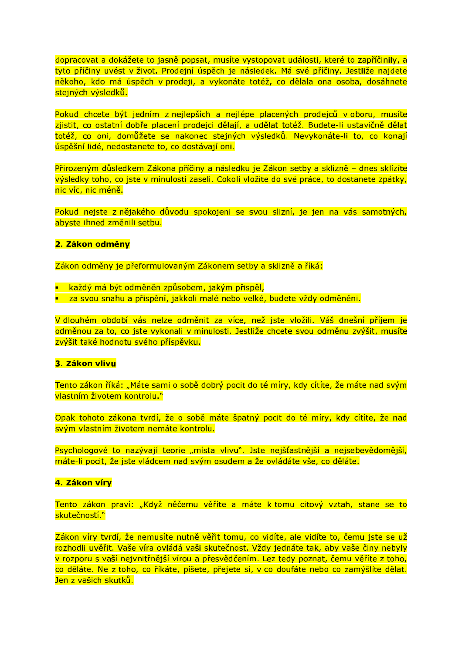dopracovat a dokážete to jasně popsat, musíte vystopovat události, které to zapříčinily, a tyto příčiny uvést v život. Prodejní úspěch je následek. Má své příčiny. Jestliže najdete někoho, kdo má úspěch v prodeji, a vykonáte totéž, co dělala ona osoba, dosáhnete stejných výsledků.

Pokud chcete být jedním z nejlepších a nejlépe placených prodejců v oboru, musíte zjistit, co ostatní dobře placení prodejci dělají, a udělat totéž. Budete-li ustavičně dělat totéž, co oni, domůžete se nakonec stejných výsledků. Nevykonáte-li to, co konají úspěšní lidé, nedostanete to, co dostávají oni.

Přirozeným důsledkem Zákona příčiny a následku je Zákon setby a sklizně – dnes sklízíte výsledky toho, co jste v minulosti zaseli. Cokoli vložíte do své práce, to dostanete zpátky, nic víc, nic méně.

Pokud nejste z nějakého důvodu spokojeni se svou slizní, je jen na vás samotných, abyste ihned změnili setbu.

#### 2. Zákon odměny

Zákon odměny je přeformulovaným Zákonem setby a sklizně a říká:

- **E** každý má být odměněn způsobem, jakým přispěl,
- **za svou snahu a přispění, jakkoli malé nebo velké, budete vždy odměněni.**

V dlouhém období vás nelze odměnit za více, než iste vložili. Váš dnešní příjem je odměnou za to, co jste vykonali v minulosti. Jestliže chcete svou odměnu zvýšit, musíte zvýšit také hodnotu svého příspěvku.

#### 3. Zákon vlivu

Tento zákon říká: "Máte sami o sobě dobrý pocit do té míry, kdy cítíte, že máte nad svým vlastním životem kontrolu."

Opak tohoto zákona tvrdí, že o sobě máte špatný pocit do té míry, kdy cítíte, že nad svým vlastním životem nemáte kontrolu.

Psychologové to nazývají teorie "místa vlivu". Jste nejšťastnější a nejsebevědomější, máte-li pocit, že jste vládcem nad svým osudem a že ovládáte vše, co děláte.

#### 4. Zákon víry

Tento zákon praví: "Když něčemu věříte a máte k tomu citový vztah, stane se to skutečností.<sup>»</sup>

Zákon víry tvrdí, že nemusíte nutně věřit tomu, co vidíte, ale vidíte to, čemu jste se už rozhodli uvěřit. Vaše víra ovládá vaši skutečnost. Vždy jednáte tak, aby vaše činy nebyly v rozporu s vaší nejvnitřnější vírou a přesvědčením. Lez tedy poznat, čemu věříte z toho, co děláte. Ne z toho, co říkáte, píšete, přejete si, v co doufáte nebo co zamýšlíte dělat. Jen z vašich skutků.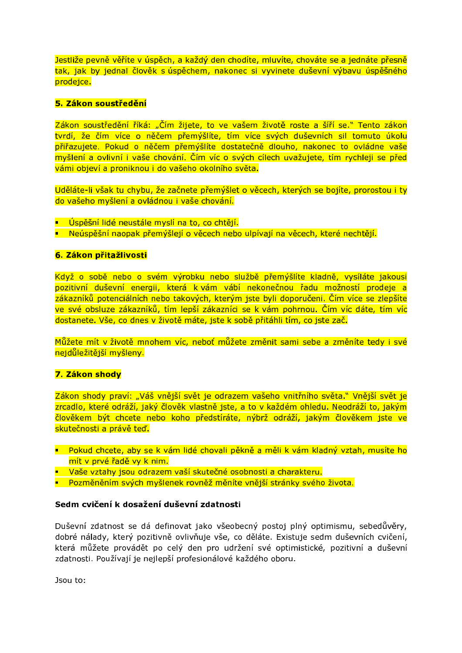Jestliže pevně věříte v úspěch, a každý den chodíte, mluvíte, chováte se a jednáte přesně tak, jak by jednal člověk s úspěchem, nakonec si vyvinete duševní výbavu úspěšného prodeice.

### 5. Zákon soustředění

Zákon soustředění říká: "Čím žijete, to ve vašem životě roste a šíří se." Tento zákon tvrdí, že čím více o něčem přemýšlíte, tím více svých duševních sil tomuto úkolu přiřazujete. Pokud o něčem přemýšlíte dostatečně dlouho, nakonec to ovládne vaše myšlení a ovlivní i vaše chování. Čím víc o svých cílech uvažujete, tím rychleji se před vámi objeví a proniknou i do vašeho okolního světa.

Uděláte-li však tu chybu, že začnete přemýšlet o věcech, kterých se bojíte, prorostou i ty do vašeho myšlení a ovládnou i vaše chování.

- · Úspěšní lidé neustále myslí na to, co chtějí.
- · Neúspěšní naopak přemýšlejí o věcech nebo ulpívají na věcech, které nechtějí.

#### 6. Zákon přitažlivosti

Když o sobě nebo o svém výrobku nebo službě přemýšlíte kladně, vysíláte jakousi pozitivní duševní energii, která k vám vábí nekonečnou řadu možností prodeje a zákazníků potenciálních nebo takových, kterým jste byli doporučeni. Čím více se zlepšíte ve své obsluze zákazníků, tím lepší zákazníci se k vám pohrnou. Čím víc dáte, tím víc dostanete. Vše, co dnes v životě máte, iste k sobě přitáhli tím, co iste zač.

Můžete mít v životě mnohem víc, neboť můžete změnit sami sebe a změníte tedy i své nejdůležitější myšleny.

### 7. Zákon shody

Zákon shody praví: "Váš vnější svět je odrazem vašeho vnitřního světa." Vnější svět je zrcadlo, které odráží, jaký člověk vlastně jste, a to v každém ohledu. Neodráží to, jakým člověkem být chcete nebo koho předstíráte, nýbrž odráží, jakým člověkem jste ve skutečnosti a právě teď.

- · Pokud chcete, aby se k vám lidé chovali pěkně a měli k vám kladný vztah, musíte ho mít v prvé řadě vy k nim.
- **Vaše vztahy jsou odrazem vaší skutečné osobnosti a charakteru.**
- · Pozměněním svých myšlenek rovněž měníte vnější stránky svého života.

#### Sedm cvičení k dosažení duševní zdatnosti

Duševní zdatnost se dá definovat jako všeobecný postoj plný optimismu, sebedůvěry, dobré nálady, který pozitivně ovlivňuje vše, co děláte. Existuje sedm duševních cvičení, která můžete provádět po celý den pro udržení své optimistické, pozitivní a duševní zdatnosti. Používají je nejlepší profesionálové každého oboru.

Jsou to: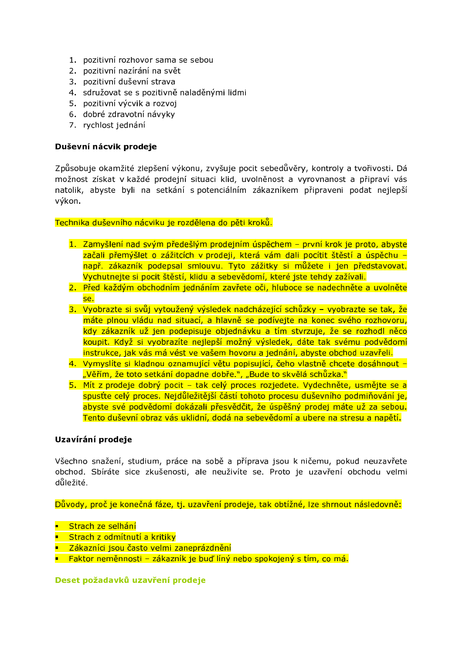- 1. pozitivní rozhovor sama se sebou
- 2. pozitivní nazírání na svět
- 3. pozitivní duševní strava
- 4. sdružovat se s pozitivně naladěnými lidmi
- 5. pozitivní výcvik a rozvoj
- 6. dobré zdravotní návyky
- 7. rychlost jednání

### Duševní nácvik prodeje

Způsobuje okamžité zlepšení výkonu, zvyšuje pocit sebedůvěry, kontroly a tvořivosti. Dá možnost získat v každé prodejní situaci klid, uvolněnost a vyrovnanost a připraví vás natolik, abyste byli na setkání s potenciálním zákazníkem připraveni podat nejlepší výkon.

### Technika duševního nácviku je rozdělena do pěti kroků.

- 1. Zamyšlení nad svým předešlým prodejním úspěchem první krok je proto, abyste začali přemýšlet o zážitcích v prodeji, která vám dali pocítit štěstí a úspěchu např. zákazník podepsal smlouvu. Tyto zážitky si můžete i jen představovat. Vychutnejte si pocit štěstí, klidu a sebevědomí, které jste tehdy zažívali.
- 2. Před každým obchodním jednáním zavřete oči, hluboce se nadechněte a uvolněte se.
- 3. Vyobrazte si svůj vytoužený výsledek nadcházející schůzky vyobrazte se tak, že máte plnou vládu nad situací, a hlavně se podívejte na konec svého rozhovoru, kdy zákazník už jen podepisuje objednávku a tím stvrzuje, že se rozhodl něco koupit. Když si vyobrazíte nejlepší možný výsledek, dáte tak svému podvědomí instrukce, jak vás má vést ve vašem hovoru a jednání, abyste obchod uzavřeli.
- 4. Vymyslíte si kladnou oznamující větu popisující, čeho vlastně chcete dosáhnout -"Věřím, že toto setkání dopadne dobře.", "Bude to skvělá schůzka."
- 5. Mít z prodeje dobrý pocit tak celý proces rozjedete. Vydechněte, usmějte se a spusťte celý proces. Neidůležitější částí tohoto procesu duševního podmiňování je. abyste své podvědomí dokázali přesvědčit, že úspěšný prodej máte už za sebou. Tento duševní obraz vás uklidní, dodá na sebevědomí a ubere na stresu a napětí.

### Uzavírání prodeje

Všechno snažení, studium, práce na sobě a příprava jsou k ničemu, pokud neuzavřete obchod. Sbíráte sice zkušenosti, ale neuživíte se. Proto je uzavření obchodu velmi důležité.

Důvody, proč je konečná fáze, tj. uzavření prodeje, tak obtížné, lze shrnout následovně:

- **BEADAIREADAIRE**<br>
Strach ze selhání
- Strach z odmítnutí a kritiky
- Zákazníci jsou často velmi zaneprázdnění
- · Faktor neměnnosti zákazník je buď líný nebo spokojený s tím, co má.

### Deset požadavků uzavření prodeje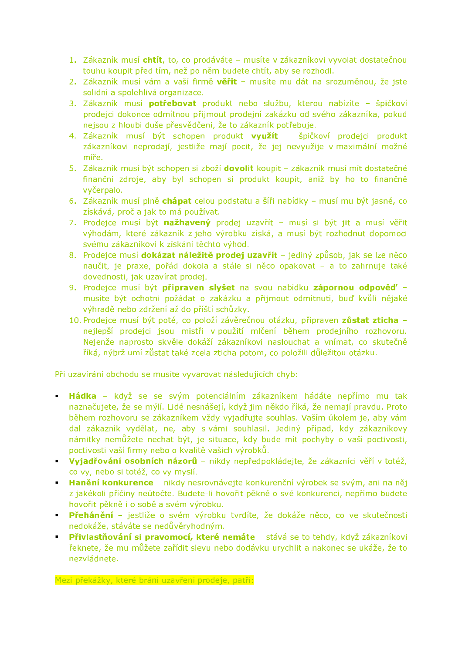- 1. Zákazník musí chtít, to, co prodáváte musíte v zákazníkovi vyvolat dostatečnou touhu koupit před tím, než po něm budete chtít, aby se rozhodl.
- 2. Zákazník musí vám a vaší firmě věřit musíte mu dát na srozuměnou, že iste solidní a spolehlivá organizace.
- 3. Zákazník musí potřebovat produkt nebo službu, kterou nabízíte špičkoví prodejci dokonce odmítnou přijmout prodejní zakázku od svého zákazníka, pokud nejsou z hloubi duše přesvědčeni, že to zákazník potřebuje.
- 4. Zákazník musí být schopen produkt využít špičkoví prodejci produkt zákazníkovi neprodají, jestliže mají pocit, že jej nevyužije v maximální možné míře.
- 5. Zákazník musí být schopen si zboží dovolit koupit zákazník musí mít dostatečné finanční zdroje, aby byl schopen si produkt koupit, aniž by ho to finančně vyčerpalo.
- 6. Zákazník musí plně chápat celou podstatu a šíři nabídky musí mu být jasné, co získává, proč a jak to má používat.
- 7. Prodejce musí být nažhavený prodej uzavřít musí si být jit a musí věřit výhodám, které zákazník z jeho výrobku získá, a musí být rozhodnut dopomoci svému zákazníkovi k získání těchto výhod.
- 8. Prodejce musí dokázat náležitě prodej uzavřít jediný způsob, jak se lze něco naučit, je praxe, pořád dokola a stále si něco opakovat - a to zahrnuje také dovednosti, jak uzavírat prodej.
- 9. Prodejce musí být připraven slyšet na svou nabídku zápornou odpověď musíte být ochotni požádat o zakázku a přijmout odmítnutí, buď kvůli nějaké výhradě nebo zdržení až do příští schůzky.
- 10. Prodejce musí být poté, co položí závěrečnou otázku, připraven zůstat zticha nejlepší prodejci jsou mistři v použití mlčení během prodejního rozhovoru. Nejenže naprosto skvěle dokáží zákazníkovi naslouchat a vnímat, co skutečně říká, nýbrž umí zůstat také zcela zticha potom, co položili důležitou otázku.

Při uzavírání obchodu se musíte vyvarovat následujících chyb:

- **Hádka** když se se svým potenciálním zákazníkem hádáte nepřímo mu tak naznačujete, že se mýlí. Lidé nesnášejí, když jim někdo říká, že nemají pravdu. Proto během rozhovoru se zákazníkem vždy vyjadřujte souhlas. Vaším úkolem je, aby vám dal zákazník vydělat, ne, aby s vámi souhlasil. Jediný případ, kdy zákazníkovy námitky nemůžete nechat být, je situace, kdy bude mít pochyby o vaší poctivosti, poctivosti vaší firmy nebo o kvalitě vašich výrobků.
- Vyjadřování osobních názorů nikdy nepředpokládejte, že zákazníci věří v totéž, co vy, nebo si totéž, co vy myslí.
- **Banezio konkurence** nikdy nesrovnávejte konkurenční výrobek se svým, ani na něj z jakékoli příčiny neútočte. Budete-li hovořit pěkně o své konkurenci, nepřímo budete hovořit pěkně i o sobě a svém výrobku.
- · Přehánění jestliže o svém výrobku tvrdíte, že dokáže něco, co ve skutečnosti nedokáže, stáváte se nedůvěryhodným.
- Přivlastňování si pravomocí, které nemáte stává se to tehdy, když zákazníkovi řeknete, že mu můžete zařídit slevu nebo dodávku urychlit a nakonec se ukáže, že to nezvládnete.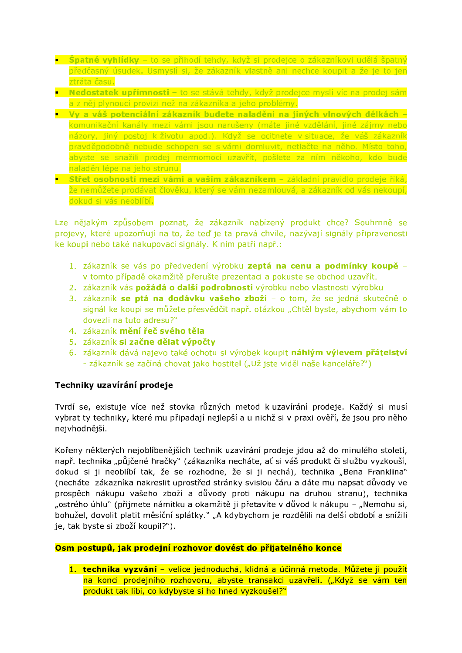- **Spatné vyhlídky** to se přihodí tehdy, když si prodejce o zákazníkovi udělá špatný předčasný úsudek. Usmyslí si, že zákazník vlastně ani nechce koupit a že je to jen ztráta času.
- Nedostatek upřímnosti to se stává tehdy, když prodejce myslí víc na prodej sám a z něj plynoucí provizi než na zákazníka a jeho problémy.
- Vy a váš potenciální zákazník budete naladěni na jiných vlnových délkách komunikační kanály mezi vámi jsou narušeny (máte jiné vzdělání, jiné zájmy nebo názory, jiný postoj k životu apod.). Když se ocitnete v situace, že váš zákazník pravděpodobně nebude schopen se s vámi domluvit, netlačte na něho. Místo toho, abyste se snažili prodej mermomocí uzavřít, pošlete za ním někoho, kdo bude naladěn lépe na jeho strunu.
- Střet osobností mezi vámi a vaším zákazníkem základní pravidlo prodeje říká, že nemůžete prodávat člověku, který se vám nezamlouvá, a zákazník od vás nekoupí, dokud si vás neoblíbí.

Lze nějakým způsobem poznat, že zákazník nabízený produkt chce? Souhrnně se projevy, které upozorňují na to, že teď je ta pravá chvíle, nazývají signály připravenosti ke koupi nebo také nakupovací signály. K nim patří např.:

- 1. zákazník se vás po předvedení výrobku zeptá na cenu a podmínky koupě v tomto případě okamžitě přerušte prezentaci a pokuste se obchod uzavřít.
- 2. zákazník vás požádá o další podrobnosti výrobku nebo vlastnosti výrobku
- 3. zákazník se ptá na dodávku vašeho zboží o tom, že se jedná skutečně o signál ke koupi se můžete přesvědčit např. otázkou "Chtěl byste, abychom vám to dovezli na tuto adresu?"
- 4. zákazník mění řeč svého těla
- 5. zákazník si začne dělat výpočtv
- 6. zákazník dává najevo také ochotu si výrobek koupit náhlým výlevem přátelství - zákazník se začíná chovat jako hostitel ("Už jste viděl naše kanceláře?")

# Techniky uzavírání prodeje

Tvrdí se, existuje více než stovka různých metod k uzavírání prodeje. Každý si musí vybrat ty techniky, které mu připadají nejlepší a u nichž si v praxi ověří, že jsou pro něho nejvhodnější.

Kořeny některých nejoblíbenějších technik uzavírání prodeje jdou až do minulého století, např. technika "půjčené hračky" (zákazníka necháte, ať si váš produkt či službu vyzkouší, dokud si ji neoblíbí tak, že se rozhodne, že si ji nechá), technika "Bena Franklina" (necháte zákazníka nakreslit uprostřed stránky svislou čáru a dáte mu napsat důvody ve prospěch nákupu vašeho zboží a důvody proti nákupu na druhou stranu), technika "ostrého úhlu" (přijmete námitku a okamžitě ji přetavíte v důvod k nákupu – "Nemohu si, bohužel, dovolit platit měsíční splátky." "A kdybychom je rozdělili na delší období a snížili je, tak byste si zboží koupil?").

# Osm postupů, jak prodejní rozhovor dovést do přijatelného konce

1. technika vyzvání - velice jednoduchá, klidná a účinná metoda. Můžete ji použít na konci prodejního rozhovoru, abyste transakci uzavřeli. ("Když se vám ten produkt tak líbí, co kdybyste si ho hned vyzkoušel?"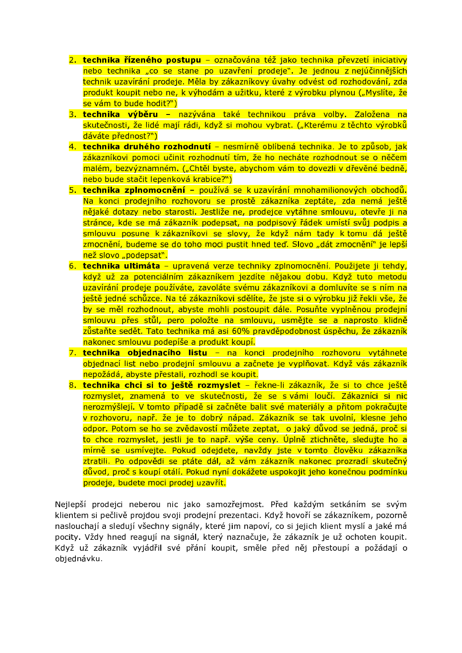- 2. technika řízeného postupu označována též jako technika převzetí iniciativy nebo technika "co se stane po uzavření prodeje". Je jednou z nejúčinnějších technik uzavírání prodeje. Měla by zákazníkovy úvahy odvést od rozhodování, zda produkt koupit nebo ne, k výhodám a užitku, které z výrobku plynou ("Myslíte, že se vám to bude hodit?")
- 3. technika výběru nazývána také technikou práva volby. Založena na skutečnosti, že lidé mají rádi, když si mohou vybrat. ("Kterému z těchto výrobků dáváte přednost?")
- 4. technika druhého rozhodnutí nesmírně oblíbená technika. Je to způsob, jak zákazníkovi pomoci učinit rozhodnutí tím, že ho necháte rozhodnout se o něčem malém, bezvýznamném. ("Chtěl byste, abychom vám to dovezli v dřevěné bedně, nebo bude stačit lepenková krabice?")
- 5. technika zplnomocnění používá se k uzavírání mnohamilionových obchodů. Na konci prodejního rozhovoru se prostě zákazníka zeptáte, zda nemá ještě nějaké dotazy nebo starosti. Jestliže ne, prodejce vytáhne smlouvu, otevře ji na stránce, kde se má zákazník podepsat, na podpisový řádek umístí svůj podpis a smlouvu posune k zákazníkovi se slovy, že když nám tady k tomu dá ještě zmocnění, budeme se do toho moci pustit hned teď. Slovo "dát zmocnění" je lepší než slovo "podepsať".
- 6. technika ultimáta upravená verze techniky zplnomocnění. Použijete ji tehdy, když už za potenciálním zákazníkem jezdíte nějakou dobu. Když tuto metodu uzavírání prodeje používáte, zavoláte svému zákazníkovi a domluvíte se s ním na ještě jedné schůzce. Na té zákazníkovi sdělíte, že jste si o výrobku již řekli vše, že by se měl rozhodnout, abyste mohli postoupit dále. Posuňte vyplněnou prodejní smlouvu přes stůl, pero položte na smlouvu, usmějte se a naprosto klidně zůstaňte sedět. Tato technika má asi 60% pravděpodobnost úspěchu, že zákazník nakonec smlouvu podepíše a produkt koupí.
- 7. technika objednacího listu na konci prodejního rozhovoru vytáhnete objednací list nebo prodejní smlouvu a začnete je vyplňovat. Když vás zákazník nepožádá, abyste přestali, rozhodl se koupit.
- 8. technika chci si to ještě rozmyslet řekne-li zákazník, že si to chce ještě rozmyslet, znamená to ve skutečnosti, že se s vámi loučí. Zákazníci si nic nerozmýšlejí. V tomto případě si začněte balit své materiály a přitom pokračujte v rozhovoru, např. že je to dobrý nápad. Zákazník se tak uvolní, klesne jeho odpor. Potom se ho se zvědavostí můžete zeptat, o jaký důvod se jedná, proč si to chce rozmyslet, jestli je to např. výše ceny. Úplně ztichněte, sledujte ho a mírně se usmívejte. Pokud odejdete, navždy jste v tomto člověku zákazníka ztratili. Po odpovědi se ptáte dál, až vám zákazník nakonec prozradí skutečný důvod, proč s koupí otálí. Pokud nyní dokážete uspokojit jeho konečnou podmínku prodeje, budete moci prodej uzavřít.

Nejlepší prodejci neberou nic jako samozřejmost. Před každým setkáním se svým klientem si pečlivě projdou svoji prodejní prezentaci. Když hovoří se zákazníkem, pozorně naslouchají a sledují všechny signály, které jim napoví, co si jejich klient myslí a jaké má pocity. Vždy hned reagují na signál, který naznačuje, že zákazník je už ochoten koupit. Když už zákazník vyjádřil své přání koupit, směle před něj přestoupí a požádají o objednávku.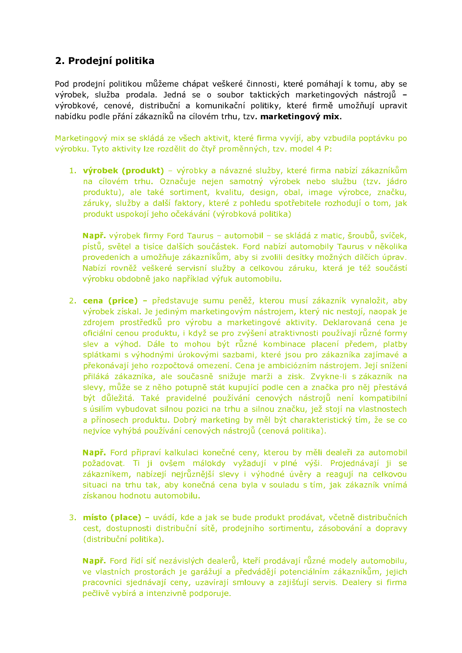# 2. Prodejní politika

Pod prodejní politikou můžeme chápat veškeré činnosti, které pomáhají k tomu, aby se výrobek, služba prodala. Jedná se o soubor taktických marketingových nástrojů výrobkové, cenové, distribuční a komunikační politiky, které firmě umožňují upravit nabídku podle přání zákazníků na cílovém trhu, tzv. marketingový mix.

Marketingový mix se skládá ze všech aktivit, které firma vyvíjí, aby vzbudila poptávku po výrobku. Tyto aktivity lze rozdělit do čtyř proměnných, tzv. model 4 P:

1. výrobek (produkt) – výrobky a návazné služby, které firma nabízí zákazníkům na cílovém trhu. Označuje nejen samotný výrobek nebo službu (tzv. jádro produktu), ale také sortiment, kvalitu, design, obal, image výrobce, značku, záruky, služby a další faktory, které z pohledu spotřebitele rozhodují o tom, jak produkt uspokojí jeho očekávání (výrobková politika)

Např. výrobek firmy Ford Taurus - automobil - se skládá z matic, šroubů, svíček, pístů, světel a tisíce dalších součástek. Ford nabízí automobily Taurus v několika provedeních a umožňuje zákazníkům, aby si zvolili desítky možných dílčích úprav. Nabízí rovněž veškeré servisní služby a celkovou záruku, která je též součástí výrobku obdobně jako například výfuk automobilu.

2. cena (price) - představuje sumu peněž, kterou musí zákazník vynaložit, aby výrobek získal. Je jediným marketingovým nástrojem, který nic nestojí, naopak je zdrojem prostředků pro výrobu a marketingové aktivity. Deklarovaná cena je oficiální cenou produktu, i když se pro zvýšení atraktivnosti používají různé formy slev a výhod. Dále to mohou být různé kombinace placení předem, platby splátkami s výhodnými úrokovými sazbami, které jsou pro zákazníka zajímavé a překonávají jeho rozpočtová omezení. Cena je ambiciózním nástrojem. Její snížení přiláká zákazníka, ale současně snižuje marži a zisk. Zvykne-li s zákazník na slevy, může se z něho potupně stát kupující podle cen a značka pro něj přestává být důležitá. Také pravidelné používání cenových nástrojů není kompatibilní s úsilím vybudovat silnou pozici na trhu a silnou značku, jež stojí na vlastnostech a přínosech produktu. Dobrý marketing by měl být charakteristický tím, že se co nejvíce vyhýbá používání cenových nástrojů (cenová politika).

Např. Ford připraví kalkulaci konečné ceny, kterou by měli dealeři za automobil požadovat. Ti ji ovšem málokdy vyžadují v plné výši. Projednávají ji se zákazníkem, nabízejí nejrůznější slevy i výhodné úvěry a reagují na celkovou situaci na trhu tak, aby konečná cena byla v souladu s tím, jak zákazník vnímá získanou hodnotu automobilu.

3. místo (place) – uvádí, kde a jak se bude produkt prodávat, včetně distribučních cest, dostupnosti distribuční sítě, prodejního sortimentu, zásobování a dopravy (distribuční politika).

Např. Ford řídí síť nezávislých dealerů, kteří prodávají různé modely automobilu, ve vlastních prostorách je garážují a předvádějí potenciálním zákazníkům, jejich pracovníci siednávají ceny, uzavírají smlouvy a zajišťují servis. Dealery si firma pečlivě vybírá a intenzivně podporuje.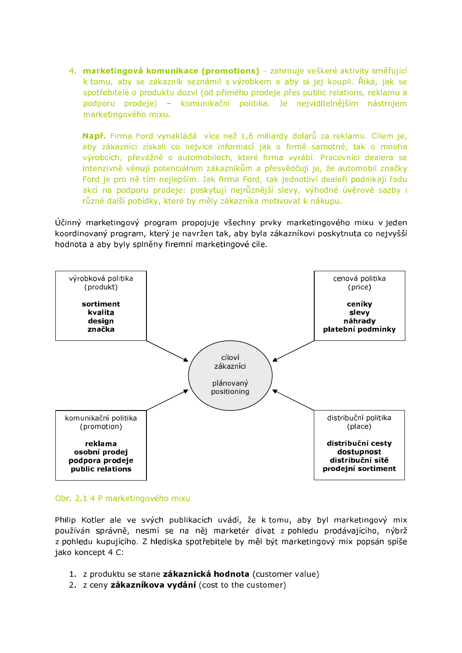4. marketingová komunikace (promotions) - zahrnuje veškeré aktivity směřující k tomu, aby se zákazník seznámil s výrobkem a aby si jej koupil. Říká, jak se spotřebitelé o produktu dozví (od přímého prodeje přes public relations, reklamu a podporu prodeje) - komunikační politika. Je nejviditelnějším nástrojem marketingového mixu.

Např. Firma Ford vynakládá více než 1,6 miliardy dolarů za reklamu. Cílem je, aby zákazníci získali co nejvíce informací jak o firmě samotné, tak o mnoha výrobcích, převážně o automobilech, které firma vyrábí. Pracovníci dealera se intenzivně věnují potenciálním zákazníkům a přesvědčují je, že automobil značky Ford je pro ně tím nejlepším. Jak firma Ford, tak jednotliví dealeři podnikají řadu akcí na podporu prodeje: poskytují nejrůznější slevy, výhodné úvěrové sazby i různé další pobídky, které by měly zákazníka motivovat k nákupu.

Účinný marketingový program propojuje všechny prvky marketingového mixu v jeden koordinovaný program, který je navržen tak, aby byla zákazníkovi poskytnuta co nejvyšší hodnota a aby byly splněny firemní marketingové cíle.



### Obr. 2.1 4 P marketingového mixu

Philip Kotler ale ve svých publikacích uvádí, že k tomu, aby byl marketingový mix používán správně, nesmí se na něj marketér dívat z pohledu prodávajícího, nýbrž z pohledu kupujícího. Z hlediska spotřebitele by měl být marketingový mix popsán spíše jako koncept 4 C:

- 1. z produktu se stane zákaznická hodnota (customer value)
- 2. z ceny zákazníkova vydání (cost to the customer)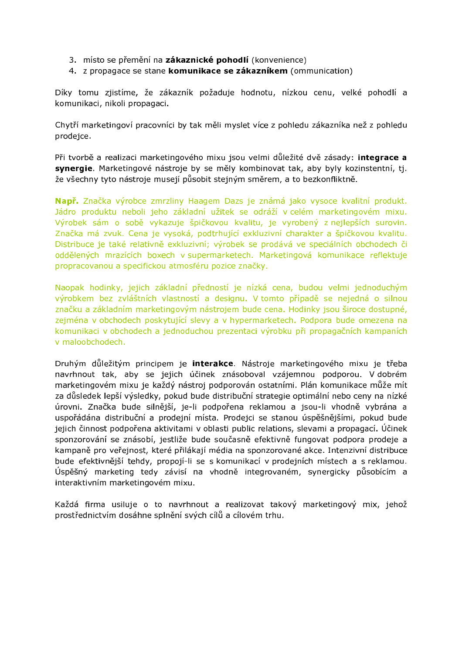- 3. místo se přemění na zákaznické pohodlí (konvenience)
- 4. z propagace se stane komunikace se zákazníkem (ommunication)

Díky tomu zjistíme, že zákazník požaduje hodnotu, nízkou cenu, velké pohodlí a komunikaci, nikoli propagaci.

Chytří marketingoví pracovníci by tak měli myslet více z pohledu zákazníka než z pohledu prodejce.

Při tvorbě a realizaci marketingového mixu jsou velmi důležité dvě zásady: integrace a synergie. Marketingové nástroje by se měly kombinovat tak, aby byly kozinstentní, tj. že všechny tyto nástroje musejí působit stejným směrem, a to bezkonfliktně.

Např. Značka výrobce zmrzliny Haagem Dazs je známá jako vysoce kvalitní produkt. Jádro produktu neboli jeho základní užitek se odráží v celém marketingovém mixu. Výrobek sám o sobě vykazuje špičkovou kvalitu, je vyrobený z nejlepších surovin. Značka má zvuk. Cena je vysoká, podtrhující exkluzivní charakter a špičkovou kvalitu. Distribuce je také relativně exkluzivní; výrobek se prodává ve speciálních obchodech či oddělených mrazících boxech v supermarketech. Marketingová komunikace reflektuje propracovanou a specifickou atmosféru pozice značky.

Naopak hodinky, jejich základní předností je nízká cena, budou velmi jednoduchým výrobkem bez zvláštních vlastností a designu. V tomto případě se nejedná o silnou značku a základním marketingovým nástrojem bude cena. Hodinky jsou široce dostupné, zejména v obchodech poskytující slevy a v hypermarketech. Podpora bude omezena na komunikaci v obchodech a jednoduchou prezentaci výrobku při propagačních kampaních v maloobchodech.

Druhým důležitým principem je interakce. Nástroje marketingového mixu je třeba navrhnout tak, aby se jejich účinek znásoboval vzájemnou podporou. V dobrém marketingovém mixu je každý nástroj podporován ostatními. Plán komunikace může mít za důsledek lepší výsledky, pokud bude distribuční strategie optimální nebo ceny na nízké úrovni. Značka bude silnější, je-li podpořena reklamou a jsou-li vhodně vybrána a uspořádána distribuční a prodejní místa. Prodejci se stanou úspěšnějšími, pokud bude jejich činnost podpořena aktivitami v oblasti public relations, slevami a propagací. Účinek sponzorování se znásobí, jestliže bude současně efektivně fungovat podpora prodeje a kampaně pro veřejnost, které přilákají média na sponzorované akce. Intenzivní distribuce bude efektivnější tehdy, propojí-li se s komunikací v prodejních místech a s reklamou. Úspěšný marketing tedy závisí na vhodně integrovaném, svnergicky působícím a interaktivním marketingovém mixu.

Každá firma usiluje o to navrhnout a realizovat takový marketingový mix, jehož prostřednictvím dosáhne splnění svých cílů a cílovém trhu.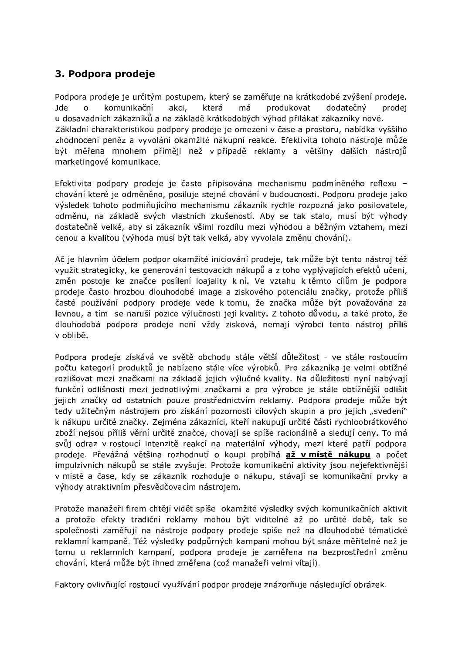# 3. Podpora prodeje

Podpora prodeje je určitým postupem, který se zaměřuje na krátkodobé zvýšení prodeje. **Ide**  $\Omega$ komunikační akci. která  $m\acute{a}$ produkovat dodatečný prodei u dosavadních zákazníků a na základě krátkodobých výhod přilákat zákazníky nové. Základní charakteristikou podpory prodeje je omezení v čase a prostoru, nabídka vyššího zhodnocení peněz a vyvolání okamžité nákupní reakce. Efektivita tohoto nástroje může být měřena mnohem příměji než v případě reklamy a většiny dalších nástrojů marketingové komunikace.

Efektivita podpory prodeje je často připisována mechanismu podmíněného reflexu chování které je odměněno, posiluje stejné chování v budoucnosti. Podporu prodeje jako výsledek tohoto podmiňujícího mechanismu zákazník rychle rozpozná jako posilovatele, odměnu, na základě svých vlastních zkušeností. Aby se tak stalo, musí být výhody dostatečně velké, aby si zákazník všiml rozdílu mezi výhodou a běžným vztahem, mezi cenou a kvalitou (výhoda musí být tak velká, aby vyvolala změnu chování).

Ač ie hlavním účelem podpor okamžité iniciování prodeje, tak může být tento nástroj též využit strategicky, ke generování testovacích nákupů a z toho vyplývajících efektů učení, změn postoje ke značce posílení loajality k ní. Ve vztahu k těmto cílům je podpora prodeje často hrozbou dlouhodobé image a ziskového potenciálu značky, protože příliš časté používání podpory prodeje vede k tomu, že značka může být považována za levnou, a tím se naruší pozice výlučnosti její kvality. Z tohoto důvodu, a také proto, že dlouhodobá podpora prodeje není vždy zisková, nemají výrobci tento nástroj příliš v oblibě.

Podpora prodeje získává ve světě obchodu stále větší důležitost - ve stále rostoucím počtu kategorií produktů je nabízeno stále více výrobků. Pro zákazníka je velmi obtížné rozlišovat mezi značkami na základě jejich výlučné kvality. Na důležitosti nyní nabývají funkční odlišnosti mezi jednotlivými značkami a pro výrobce je stále obtížnější odlišit jejich značky od ostatních pouze prostřednictvím reklamy. Podpora prodeje může být tedy užitečným nástrojem pro získání pozornosti cílových skupin a pro jejich "svedení" k nákupu určité značky. Zejména zákazníci, kteří nakupují určité části rychloobrátkového zboží nejsou příliš věrní určité značce, chovají se spíše racionálně a sledují ceny. To má svůj odraz v rostoucí intenzitě reakcí na materiální výhody, mezi které patří podpora prodeje. Převážná většina rozhodnutí o koupi probíhá až v místě nákupu a počet impulzivních nákupů se stále zvyšuje. Protože komunikační aktivity jsou nejefektivnější v místě a čase, kdy se zákazník rozhoduje o nákupu, stávají se komunikační prvky a výhody atraktivním přesvědčovacím nástrojem.

Protože manažeři firem chtějí vidět spíše okamžité výsledky svých komunikačních aktivit a protože efekty tradiční reklamy mohou být viditelné až po určité době, tak se společnosti zaměřují na nástroje podpory prodeje spíše než na dlouhodobé tématické reklamní kampaně. Též výsledky podpůrných kampaní mohou být snáze měřitelné než je tomu u reklamních kampaní, podpora prodeje je zaměřena na bezprostřední změnu chování, která může být ihned změřena (což manažeři velmi vítají).

Faktory ovlivňující rostoucí využívání podpor prodeje znázorňuje následující obrázek.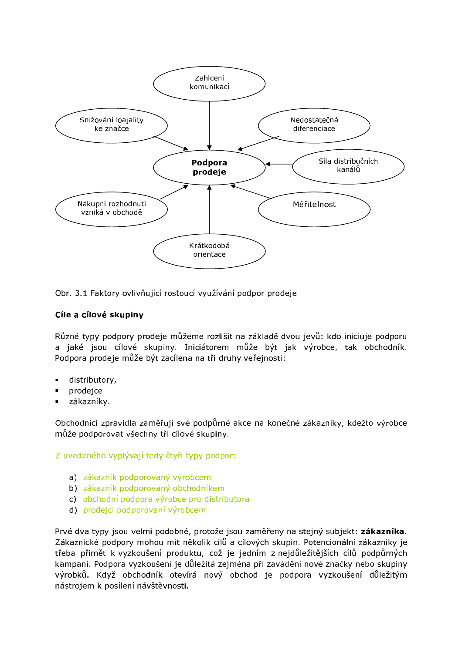

Obr. 3.1 Faktory ovlivňující rostoucí využívání podpor prodeje

# Cíle a cílové skupiny

Různé tvpy podpory prodeje můžeme rozlišit na základě dvou jevů: kdo iniciuje podporu a jaké jsou cílové skupiny. Iniciátorem může být jak výrobce, tak obchodník. Podpora prodeje může být zacílena na tři druhy veřejnosti:

- distributory,
- prodejce  $\blacksquare$
- zákazníky.

Obchodníci zpravidla zaměřují své podpůrné akce na konečné zákazníky, kdežto výrobce může podporovat všechny tři cílové skupiny.

Z uvedeného vyplývají tedy čtyři typy podpor:

- a) zákazník podporovaný výrobcem
- b) zákazník podporovaný obchodníkem
- c) obchodní podpora výrobce pro distributora
- d) prodejci podporovaní výrobcem

Prvé dva typy jsou velmi podobné, protože jsou zaměřeny na stejný subjekt: zákazníka. Zákaznické podpory mohou mít několik cílů a cílových skupin. Potencionální zákazníky je třeba přimět k vyzkoušení produktu, což je jedním z nejdůležitějších cílů podpůrných kampaní. Podpora vyzkoušení je důležitá zejména při zavádění nové značky nebo skupiny výrobků. Když obchodník otevírá nový obchod je podpora vyzkoušení důležitým nástrojem k posílení návštěvnosti.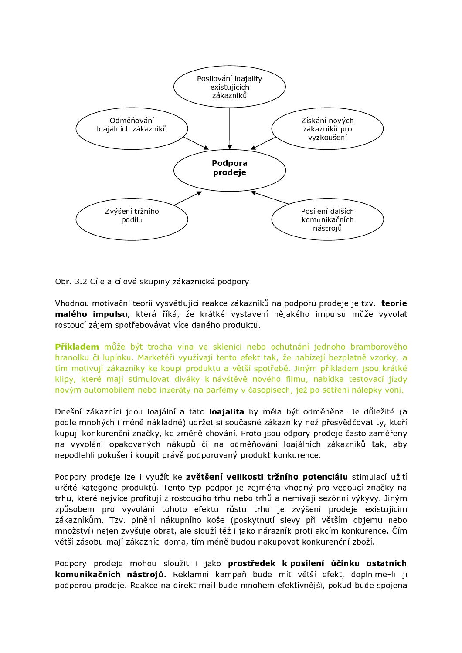

Obr. 3.2 Cíle a cílové skupiny zákaznické podpory

Vhodnou motivační teorií vysvětlující reakce zákazníků na podporu prodeje je tzv. teorie malého impulsu, která říká, že krátké vystavení nějakého impulsu může vyvolat rostoucí zájem spotřebovávat více daného produktu.

Příkladem může být trocha vína ve sklenici nebo ochutnání jednoho bramborového hranolku či lupínku. Marketéři využívají tento efekt tak, že nabízejí bezplatně vzorky, a tím motivují zákazníky ke koupi produktu a větší spotřebě. Jiným příkladem jsou krátké klipy, které mají stimulovat diváky k návštěvě nového filmu, nabídka testovací jízdy novým automobilem nebo inzeráty na parfémy v časopisech, jež po setření nálepky voní.

Dnešní zákazníci jdou loajální a tato loajalita by měla být odměněna. Je důležité (a podle mnohých i méně nákladné) udržet si současné zákazníky než přesvědčovat ty, kteří kupují konkurenční značky, ke změně chování. Proto jsou odpory prodeje často zaměřeny na vyvolání opakovaných nákupů či na odměňování loajálních zákazníků tak, aby nepodlehli pokušení koupit právě podporovaný produkt konkurence.

Podpory prodeje lze i využít ke zvětšení velikosti tržního potenciálu stimulací užití určité kategorie produktů. Tento typ podpor je zejména vhodný pro vedoucí značky na trhu, které nejvíce profitují z rostoucího trhu nebo trhů a nemívají sezónní výkyvy. Jiným způsobem pro vyvolání tohoto efektu růstu trhu je zvýšení prodeje existujícím zákazníkům. Tzv. plnění nákupního koše (poskytnutí slevy při větším objemu nebo množství) nejen zvyšuje obrat, ale slouží též i jako nárazník proti akcím konkurence. Čím větší zásobu mají zákazníci doma, tím méně budou nakupovat konkurenční zboží.

Podpory prodeje mohou sloužit i jako prostředek k posílení účinku ostatních komunikačních nástrojů. Reklamní kampaň bude mít větší efekt, doplníme-li ji podporou prodeje. Reakce na direkt mail bude mnohem efektivnější, pokud bude spojena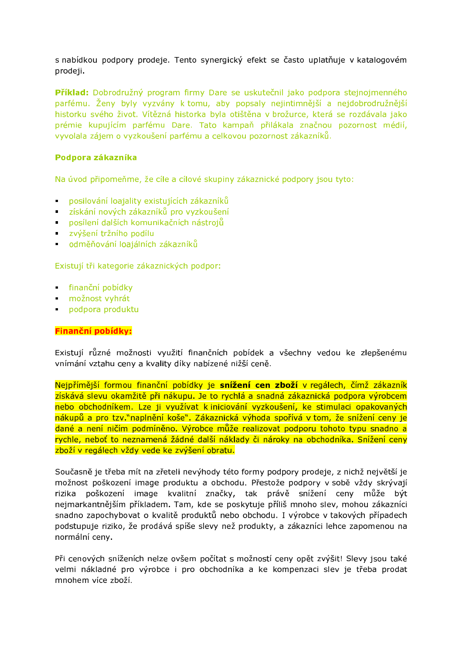s nabídkou podpory prodeje. Tento synergický efekt se často uplatňuje v katalogovém prodeji.

Příklad: Dobrodružný program firmy Dare se uskutečnil jako podpora stejnojmenného parfému. Ženy byly vyzvány k tomu, aby popsaly nejintimnější a nejdobrodružnější historku svého život. Vítězná historka byla otištěna v brožurce, která se rozdávala jako prémie kupujícím parfému Dare. Tato kampaň přilákala značnou pozornost médií, vyvolala zájem o vyzkoušení parfému a celkovou pozornost zákazníků.

# Podpora zákazníka

Na úvod připomeňme, že cíle a cílové skupiny zákaznické podpory jsou tyto:

- **posilování loajality existujících zákazníků**
- · získání nových zákazníků pro vyzkoušení
- posílení dalších komunikačních nástrojů
- v zvýšení tržního podílu
- · odměňování loajálních zákazníků

Existují tři kategorie zákaznických podpor:

- · finanční pobídky
- · možnost vyhrát
- podpora produktu

#### Finanční pobídky:

Existují různé možnosti využití finančních pobídek a všechny vedou ke zlepšenému vnímání vztahu ceny a kvality díky nabízené nižší ceně.

Nejpřímější formou finanční pobídky je snížení cen zboží v regálech, čímž zákazník získává slevu okamžitě při nákupu. Je to rychlá a snadná zákaznická podpora výrobcem nebo obchodníkem. Lze ji využívat k iniciování vyzkoušení, ke stimulaci opakovaných nákupů a pro tzv."naplnění koše". Zákaznická výhoda spořívá v tom, že snížení ceny je dané a není ničím podmíněno. Výrobce může realizovat podporu tohoto typu snadno a rychle, neboť to neznamená žádné další náklady či nároky na obchodníka. Snížení ceny zboží v regálech vždy vede ke zvýšení obratu.

Současně je třeba mít na zřeteli nevýhody této formy podpory prodeje, z nichž největší je možnost poškození image produktu a obchodu. Přestože podpory v sobě vždy skrývají poškození image kvalitní značky, tak právě snížení ceny může být rizika nejmarkantnějším příkladem. Tam, kde se poskytuje příliš mnoho slev, mohou zákazníci snadno zapochybovat o kvalitě produktů nebo obchodu. I výrobce v takových případech podstupuje riziko, že prodává spíše slevy než produkty, a zákazníci lehce zapomenou na normální ceny.

Při cenových sníženích nelze ovšem počítat s možností ceny opět zvýšit! Slevy jsou také velmi nákladné pro výrobce i pro obchodníka a ke kompenzaci slev je třeba prodat mnohem více zboží.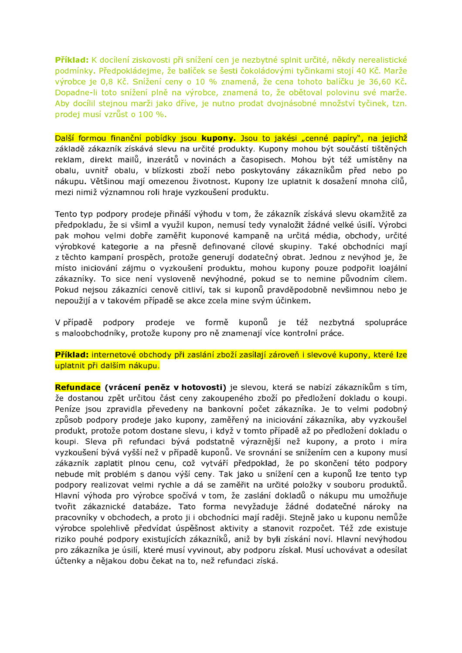Příklad: K docílení ziskovosti při snížení cen je nezbytné splnit určité, někdy nerealistické podmínky. Předpokládejme, že balíček se šesti čokoládovými tyčinkami stojí 40 Kč. Marže výrobce je 0,8 Kč. Snížení ceny o 10 % znamená, že cena tohoto balíčku je 36,60 Kč. Dopadne-li toto snížení plně na výrobce, znamená to, že obětoval polovinu své marže. Aby docílil stejnou marži jako dříve, je nutno prodat dvojnásobné množství tyčinek, tzn. prodej musí vzrůst o 100 %.

Další formou finanční pobídky jsou kupony. Jsou to jakési "cenné papíry", na jejichž základě zákazník získává slevu na určité produkty. Kupony mohou být součástí tištěných reklam, direkt mailů, inzerátů v novinách a časopisech. Mohou být též umístěny na obalu, uvnitř obalu, v blízkosti zboží nebo poskytovány zákazníkům před nebo po nákupu. Většinou mají omezenou životnost. Kupony lze uplatnit k dosažení mnoha cílů, mezi nimiž významnou roli hraje vyzkoušení produktu.

Tento typ podpory prodeje přináší výhodu v tom, že zákazník získává slevu okamžitě za předpokladu, že si všiml a využil kupon, nemusí tedy vynaložit žádné velké úsilí. Výrobci pak mohou velmi dobře zaměřit kuponové kampaně na určitá média, obchody, určité výrobkové kategorie a na přesně definované cílové skupiny. Také obchodníci mají z těchto kampaní prospěch, protože generují dodatečný obrat. Jednou z nevýhod je, že místo iniciování zájmu o vyzkoušení produktu, mohou kupony pouze podpořit loajální zákazníky. To sice není vysloveně nevýhodné, pokud se to nemine původním cílem. Pokud nejsou zákazníci cenově citliví, tak si kuponů pravděpodobně nevšimnou nebo je nepoužijí a v takovém případě se akce zcela mine svým účinkem.

podpory prodeje ve formě kuponů je též V případě nezbytná spolupráce s maloobchodníky, protože kupony pro ně znamenají více kontrolní práce.

Příklad: internetové obchody při zaslání zboží zasílají zároveň i slevové kupony, které lze uplatnit při dalším nákupu.

Refundace (vrácení peněz v hotovosti) je slevou, která se nabízí zákazníkům s tím, že dostanou zpět určitou část ceny zakoupeného zboží po předložení dokladu o koupi. Peníze jsou zpravidla převedeny na bankovní počet zákazníka. Je to velmi podobný způsob podpory prodeje jako kupony, zaměřený na iniciování zákazníka, aby vyzkoušel produkt, protože potom dostane slevu, i když v tomto případě až po předložení dokladu o koupi. Sleva při refundaci bývá podstatně výraznější než kupony, a proto i míra vyzkoušení bývá vyšší než v případě kuponů. Ve srovnání se snížením cen a kupony musí zákazník zaplatit plnou cenu, což vytváří předpoklad, že po skončení této podpory nebude mít problém s danou výší ceny. Tak jako u snížení cen a kuponů lze tento typ podpory realizovat velmi rychle a dá se zaměřit na určité položky v souboru produktů. Hlavní výhoda pro výrobce spočívá v tom, že zaslání dokladů o nákupu mu umožňuje tvořit zákaznické databáze. Tato forma nevyžaduje žádné dodatečné nároky na pracovníky v obchodech, a proto ji i obchodníci mají raději. Stejně jako u kuponu nemůže výrobce spolehlivě předvídat úspěšnost aktivity a stanovit rozpočet. Též zde existuje riziko pouhé podpory existujících zákazníků, aniž by byli získání noví. Hlavní nevýhodou pro zákazníka je úsilí, které musí vyvinout, aby podporu získal. Musí uchovávat a odesílat účtenky a nějakou dobu čekat na to, než refundaci získá.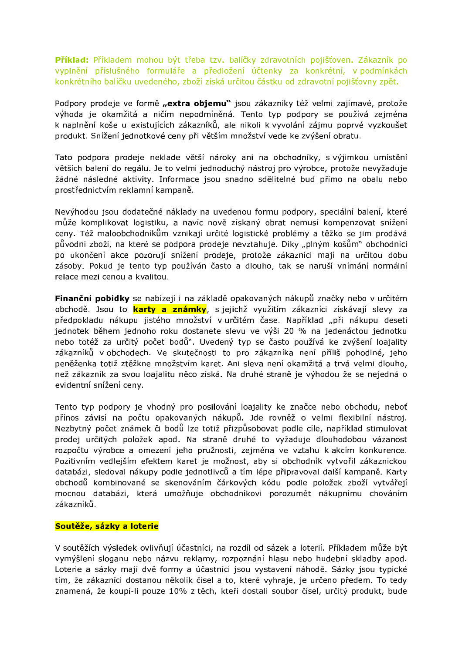Příklad: Příkladem mohou být třeba tzv. balíčky zdravotních pojišťoven. Zákazník po vyplnění příslušného formuláře a předložení účtenky za konkrétní, v podmínkách konkrétního balíčku uvedeného, zboží získá určitou částku od zdravotní pojišťovny zpět.

Podpory prodeje ve formě "extra objemu" jsou zákazníky též velmi zajímavé, protože výhoda je okamžitá a ničím nepodmíněná. Tento typ podpory se používá zejména k naplnění koše u existujících zákazníků, ale nikoli k vyvolání zájmu poprvé vyzkoušet produkt. Snížení jednotkové ceny při větším množství vede ke zvýšení obratu.

Tato podpora prodeje neklade větší nároky ani na obchodníky, s výjimkou umístění větších balení do regálu. Je to velmi jednoduchý nástroj pro výrobce, protože nevyžaduje žádné následné aktivity. Informace jsou snadno sdělitelné bud přímo na obalu nebo prostřednictvím reklamní kampaně.

Nevýhodou jsou dodatečné náklady na uvedenou formu podpory, speciální balení, které může komplikovat logistiku, a navíc nově získaný obrat nemusí kompenzovat snížení ceny. Též maloobchodníkům vznikají určité logistické problémy a těžko se jim prodává původní zboží, na které se podpora prodeje nevztahuje. Díky "plným košům" obchodníci po ukončení akce pozorují snížení prodeje, protože zákazníci mají na určitou dobu zásoby. Pokud je tento typ používán často a dlouho, tak se naruší vnímání normální relace mezi cenou a kvalitou.

Finanční pobídky se nabízejí i na základě opakovaných nákupů značky nebo v určitém obchodě. Jsou to karty a známky, s jejichž využitím zákazníci získávají slevy za předpokladu nákupu jistého množství v určitém čase. Například "při nákupu deseti jednotek během jednoho roku dostanete slevu ve výši 20 % na jedenáctou jednotku nebo totéž za určitý počet bodů". Uvedený typ se často používá ke zvýšení loajality zákazníků v obchodech. Ve skutečnosti to pro zákazníka není příliš pohodlné, jeho peněženka totiž ztěžkne množstvím karet. Ani sleva není okamžitá a trvá velmi dlouho, než zákazník za svou loajalitu něco získá. Na druhé straně je výhodou že se nejedná o evidentní snížení ceny.

Tento typ podpory je vhodný pro posilování loajality ke značce nebo obchodu, neboť přínos závisí na počtu opakovaných nákupů. Jde rovněž o velmi flexibilní nástroj. Nezbytný počet známek či bodů lze totiž přizpůsobovat podle cíle, například stimulovat prodej určitých položek apod. Na straně druhé to vyžaduje dlouhodobou vázanost rozpočtu výrobce a omezení jeho pružnosti, zejména ve vztahu k akcím konkurence. Pozitivním vedlejším efektem karet je možnost, aby si obchodník vytvořil zákaznickou databázi, sledoval nákupy podle jednotlivců a tím lépe připravoval další kampaně. Karty obchodů kombinované se skenováním čárkových kódu podle položek zboží vytvářejí mocnou databázi, která umožňuje obchodníkovi porozumět nákupnímu chováním zákazníků.

#### Soutěže, sázky a loterie

V soutěžích výsledek ovlivňují účastníci, na rozdíl od sázek a loterií. Příkladem může být vymýšlení sloganu nebo názvu reklamy, rozpoznání hlasu nebo hudební skladby apod. Loterie a sázky mají dvě formy a účastníci jsou vystavení náhodě. Sázky jsou typické tím, že zákazníci dostanou několik čísel a to, které vyhraje, je určeno předem. To tedy znamená, že koupí-li pouze 10% z těch, kteří dostali soubor čísel, určitý produkt, bude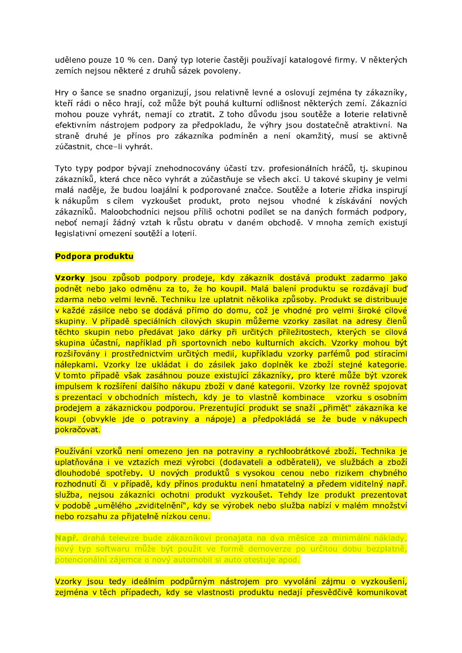uděleno pouze 10 % cen. Daný typ loterie častěji používají katalogové firmy. V některých zemích nejsou některé z druhů sázek povoleny.

Hry o šance se snadno organizují, jsou relativně levné a oslovují zejména ty zákazníky, kteří rádi o něco hrají, což může být pouhá kulturní odlišnost některých zemí. Zákazníci mohou pouze vyhrát, nemají co ztratit. Z toho důvodu jsou soutěže a loterie relativně efektivním nástrojem podpory za předpokladu, že výhry jsou dostatečně atraktivní. Na straně druhé je přínos pro zákazníka podmíněn a není okamžitý, musí se aktivně zúčastnit, chce-li vyhrát.

Tyto typy podpor bývají znehodnocovány účastí tzv. profesionálních hráčů, tj. skupinou zákazníků, která chce něco vyhrát a zúčastňuje se všech akcí. U takové skupiny je velmi malá naděje, že budou loajální k podporované značce. Soutěže a loterie zřídka inspirují k nákupům s cílem vyzkoušet produkt, proto nejsou vhodné k získávání nových zákazníků. Maloobchodníci nejsou příliš ochotni podílet se na daných formách podpory, neboť nemají žádný vztah k růstu obratu v daném obchodě. V mnoha zemích existují legislativní omezení soutěží a loterií.

#### Podpora produktu

Vzorky jsou způsob podpory prodeje, kdy zákazník dostává produkt zadarmo jako podnět nebo jako odměnu za to, že ho koupil. Malá balení produktu se rozdávají buď zdarma nebo velmi levně. Techniku lze uplatnit několika způsoby. Produkt se distribuuje v každé zásilce nebo se dodává přímo do domu, což je vhodné pro velmi široké cílové skupiny. V případě speciálních cílových skupin můžeme vzorky zasílat na adresy členů těchto skupin nebo předávat jako dárky při určitých příležitostech, kterých se cílová skupina účastní, například při sportovních nebo kulturních akcích. Vzorky mohou být rozšiřovány i prostřednictvím určitých medií, kupříkladu vzorky parfémů pod stíracími nálepkami. Vzorky lze ukládat i do zásilek jako doplněk ke zboží stejné kategorie. V tomto případě však zasáhnou pouze existující zákazníky, pro které může být vzorek impulsem k rozšíření dalšího nákupu zboží v dané kategorii. Vzorky lze rovněž spojovat s prezentací v obchodních místech, kdy je to vlastně kombinace vzorku s osobním prodejem a zákaznickou podporou. Prezentující produkt se snaží "přimět" zákazníka ke koupi (obvykle jde o potraviny a nápoje) a předpokládá se že bude v nákupech pokračovat.

Používání vzorků není omezeno jen na potraviny a rychloobrátkové zboží. Technika je uplatňována i ve vztazích mezi výrobci (dodavateli a odběrateli), ve službách a zboží dlouhodobé spotřeby. U nových produktů s vysokou cenou nebo rizikem chybného rozhodnutí či v případě, kdy přínos produktu není hmatatelný a předem viditelný např. služba, nejsou zákazníci ochotni produkt vyzkoušet. Tehdy lze produkt prezentovat v podobě "umělého "zviditelnění", kdy se výrobek nebo služba nabízí v malém množství nebo rozsahu za přijatelně nízkou cenu.

Např. drahá televize bude zákazníkovi pronajata na dva měsíce za minimální náklady, nový typ softwaru může být použit ve formě demoverze po určitou dobu bezplatně, potencionální zájemce o nový automobil si auto otestuje apod.

Vzorky jsou tedy ideálním podpůrným nástrojem pro vyvolání zájmu o vyzkoušení, zejména v těch případech, kdy se vlastnosti produktu nedají přesvědčivě komunikovat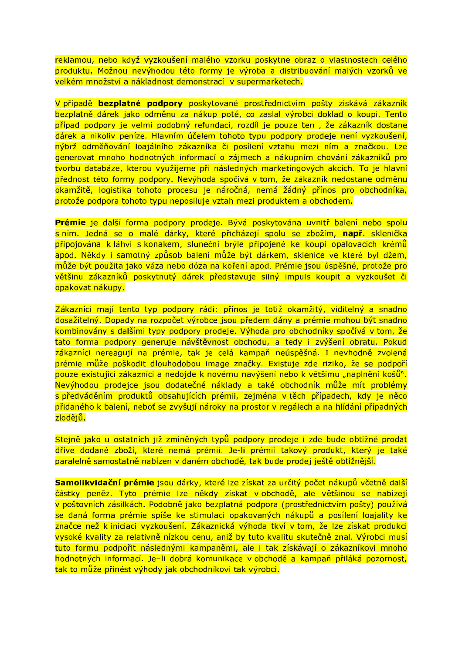reklamou, nebo když vyzkoušení malého vzorku poskytne obraz o vlastnostech celého produktu. Možnou nevýhodou této formy je výroba a distribuování malých vzorků ve velkém množství a nákladnost demonstrací v supermarketech.

V případě bezplatné podpory poskytované prostřednictvím pošty získává zákazník bezplatně dárek jako odměnu za nákup poté, co zaslal výrobci doklad o koupi. Tento případ podpory je velmi podobný refundaci, rozdíl je pouze ten, že zákazník dostane dárek a nikoliv peníze. Hlavním účelem tohoto typu podpory prodeje není vyzkoušení, nýbrž odměňování loajálního zákazníka či posílení vztahu mezi ním a značkou. Lze generovat mnoho hodnotných informací o zájmech a nákupním chování zákazníků pro tvorbu databáze, kterou využijeme při následných marketingových akcích. To je hlavní přednost této formy podpory. Nevýhoda spočívá v tom, že zákazník nedostane odměnu okamžitě, logistika tohoto procesu je náročná, nemá žádný přínos pro obchodníka, protože podpora tohoto typu neposiluje vztah mezi produktem a obchodem.

Prémie je další forma podpory prodeje. Bývá poskytována uvnitř balení nebo spolu s ním. Jedná se o malé dárky, které přicházejí spolu se zbožím, např. sklenička připojována k láhvi s konakem, sluneční brýle připojené ke koupi opalovacích krémů apod. Někdy i samotný způsob balení může být dárkem, sklenice ve které byl džem, může být použita jako váza nebo dóza na koření apod. Prémie jsou úspěšné, protože pro většinu zákazníků poskytnutý dárek představuje silný impuls koupit a vyzkoušet či opakovat nákupy.

Zákazníci mají tento typ podpory rádi: přínos je totiž okamžitý, viditelný a snadno dosažitelný. Dopady na rozpočet výrobce jsou předem dány a prémie mohou být snadno kombinovány s dalšími typy podpory prodeje. Výhoda pro obchodníky spočívá v tom, že tato forma podpory generuje návštěvnost obchodu, a tedy i zvýšení obratu. Pokud zákazníci nereagují na prémie, tak je celá kampaň neúspěšná. I nevhodně zvolená prémie může poškodit dlouhodobou image značky. Existuje zde riziko, že se podpoří pouze existující zákazníci a nedojde k novému navýšení nebo k většímu "naplnění košů". Nevýhodou prodejce jsou dodatečné náklady a také obchodník může mít problémy s předváděním produktů obsahujících prémii, zejména v těch případech, kdy je něco přidaného k balení, neboť se zvyšují nároky na prostor v regálech a na hlídání případných <mark>zlodějů.</mark>

Stejně jako u ostatních již zmíněných typů podpory prodeje j zde bude obtížné prodat dříve dodané zboží, které nemá prémii. Je-li prémií takový produkt, který je také paralelně samostatně nabízen v daném obchodě, tak bude prodej ještě obtížnější.

Samolikvidační prémie jsou dárky, které lze získat za určitý počet nákupů včetně další částky peněz. Tyto prémie lze někdy získat v obchodě, ale většinou se nabízejí v poštovních zásilkách. Podobně jako bezplatná podpora (prostřednictvím pošty) používá se daná forma prémie spíše ke stimulaci opakovaných nákupů a posílení loajality ke značce než k iniciaci vyzkoušení. Zákaznická výhoda tkví v tom, že lze získat produkci vysoké kvality za relativně nízkou cenu, aniž by tuto kvalitu skutečně znal. Výrobci musí tuto formu podpořit následnými kampaněmi, ale i tak získávají o zákazníkovi mnoho hodnotných informací. Je-li dobrá komunikace v obchodě a kampaň přiláká pozornost, tak to může přinést výhody jak obchodníkovi tak výrobci.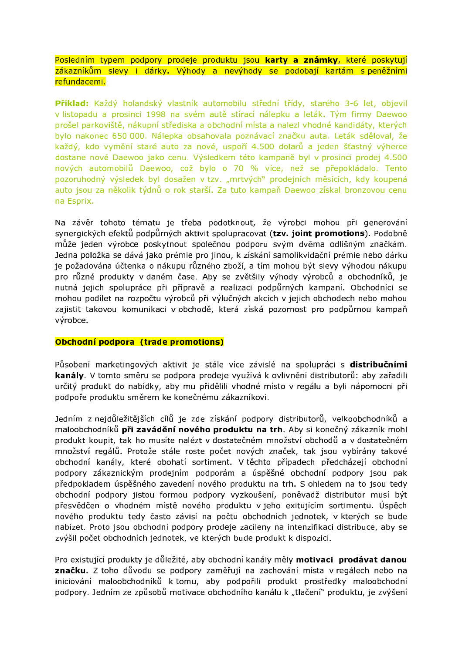Posledním typem podpory prodeje produktu jsou karty a známky, které poskytují zákazníkům slevy i dárky. Výhody a nevýhody se podobají kartám s peněžními refundacemi.

Příklad: Každý holandský vlastník automobilu střední třídy, starého 3-6 let, objevil v listopadu a prosinci 1998 na svém autě stírací nálepku a leták. Tým firmy Daewoo prošel parkoviště, nákupní střediska a obchodní místa a nalezl vhodné kandidáty, kterých bylo nakonec 650 000. Nálepka obsahovala poznávací značku auta. Leták sděloval, že každý, kdo vymění staré auto za nové, uspoří 4.500 dolarů a jeden šťastný výherce dostane nové Daewoo jako cenu. Výsledkem této kampaně byl v prosinci prodej 4.500 nových automobilů Daewoo, což bylo o 70 % více, než se přepokládalo. Tento pozoruhodný výsledek byl dosažen v tzv. "mrtvých" prodejních měsících, kdy koupená auto jsou za několik týdnů o rok starší. Za tuto kampaň Daewoo získal bronzovou cenu na Esprix.

Na závěr tohoto tématu je třeba podotknout, že výrobci mohou při generování synergických efektů podpůrných aktivit spolupracovat (tzv. joint promotions). Podobně může jeden výrobce poskytnout společnou podporu svým dvěma odlišným značkám. Jedna položka se dává jako prémie pro jinou, k získání samolikvidační prémie nebo dárku je požadována účtenka o nákupu různého zboží, a tím mohou být slevy výhodou nákupu pro různé produkty v daném čase. Aby se zvětšily výhody výrobců a obchodníků, je nutná jejich spolupráce při přípravě a realizaci podpůrných kampaní. Obchodníci se mohou podílet na rozpočtu výrobců při výlučných akcích v jejich obchodech nebo mohou zajistit takovou komunikaci v obchodě, která získá pozornost pro podpůrnou kampaň výrobce.

### Obchodní podpora (trade promotions)

Působení marketingových aktivit je stále více závislé na spolupráci s distribučními kanály. V tomto směru se podpora prodeje využívá k ovlivnění distributorů: aby zařadili určitý produkt do nabídky, aby mu přidělili vhodné místo v regálu a byli nápomocni při podpoře produktu směrem ke konečnému zákazníkovi.

Jedním z nejdůležitějších cílů je zde získání podpory distributorů, velkoobchodníků a maloobchodníků při zavádění nového produktu na trh. Aby si konečný zákazník mohl produkt koupit, tak ho musíte nalézt v dostatečném množství obchodů a v dostatečném množství regálů. Protože stále roste počet nových značek, tak jsou vybírány takové obchodní kanály, které obohatí sortiment. V těchto případech předcházejí obchodní podpory zákaznickým prodejním podporám a úspěšné obchodní podpory jsou pak předpokladem úspěšného zavedení nového produktu na trh. S ohledem na to jsou tedy obchodní podpory jistou formou podpory vyzkoušení, poněvadž distributor musí být přesvědčen o vhodném místě nového produktu v jeho exitujícím sortimentu. Úspěch nového produktu tedy často závisí na počtu obchodních jednotek, v kterých se bude nabízet. Proto jsou obchodní podpory prodeje zacíleny na intenzifikaci distribuce, aby se zvýšil počet obchodních jednotek, ve kterých bude produkt k dispozici.

Pro existující produkty je důležité, aby obchodní kanály měly motivaci prodávat danou značku. Z toho důvodu se podpory zaměřují na zachování místa v regálech nebo na iniciování maloobchodníků k tomu, aby podpořili produkt prostředky maloobchodní podpory. Jedním ze způsobů motivace obchodního kanálu k "tlačení" produktu, je zvýšení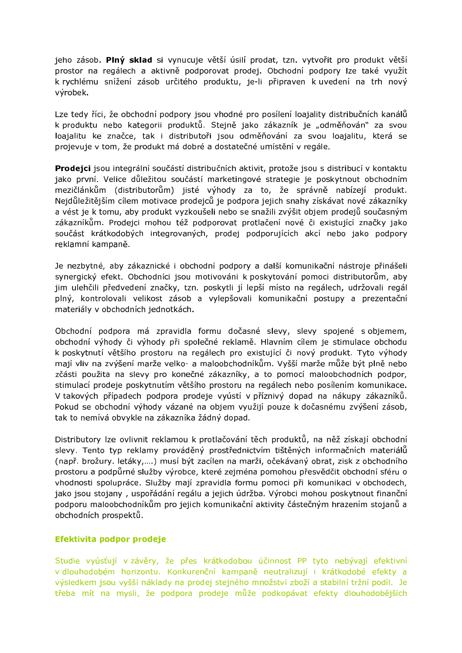jeho zásob. Plný sklad si vynucuje větší úsilí prodat, tzn. vytvořit pro produkt větší prostor na regálech a aktivně podporovat prodej. Obchodní podpory lze také využít k rychlému snížení zásob určitého produktu, je-li připraven k uvedení na trh nový výrobek.

Lze tedy říci, že obchodní podpory jsou vhodné pro posílení loajality distribučních kanálů k produktu nebo kategorii produktů. Stejně jako zákazník je "odměňován" za svou loajalitu ke značce, tak i distributoři jsou odměňování za svou loajalitu, která se projevuje v tom, že produkt má dobré a dostatečné umístění v regále.

Prodeici isou integrální součástí distribučních aktivit, protože isou s distribucí v kontaktu jako první. Velice důležitou součástí marketingové strategie je poskytnout obchodním mezičlánkům (distributorům) jisté výhody za to, že správně nabízejí produkt. Neidůležitějším cílem motivace prodejců je podpora jejich snahy získávat nové zákazníky a vést je k tomu, aby produkt vyzkoušeli nebo se snažili zvýšit objem prodejů současným zákazníkům. Prodejci mohou též podporovat protlačení nové či existující značky jako součást krátkodobých integrovaných, prodej podporujících akcí nebo jako podpory reklamní kampaně.

Je nezbytné, aby zákaznické i obchodní podpory a další komunikační nástroje přinášeli synergický efekt. Obchodníci jsou motivováni k poskytování pomoci distributorům, aby jim ulehčili předvedení značky, tzn. poskytli jí lepší místo na regálech, udržovali regál plný, kontrolovali velikost zásob a vylepšovali komunikační postupy a prezentační materiály v obchodních jednotkách.

Obchodní podpora má zpravidla formu dočasné slevy, slevy spojené s objemem, obchodní výhody či výhody při společné reklamě. Hlavním cílem je stimulace obchodu k poskytnutí většího prostoru na regálech pro existující či nový produkt. Tyto výhody mají vliv na zvýšení marže velko- a maloobchodníkům. Vyšší marže může být plně nebo zčásti použita na slevy pro konečné zákazníky, a to pomocí maloobchodních podpor, stimulací prodeje poskytnutím většího prostoru na regálech nebo posílením komunikace. V takových případech podpora prodeje vyústí v příznivý dopad na nákupy zákazníků. Pokud se obchodní výhody vázané na objem využijí pouze k dočasnému zvýšení zásob, tak to nemívá obvykle na zákazníka žádný dopad.

Distributory lze ovlivnit reklamou k protlačování těch produktů, na něž získají obchodní slevy. Tento typ reklamy prováděný prostřednictvím tištěných informačních materiálů (např. brožury. letáky,....) musí být zacílen na marži, očekávaný obrat, zisk z obchodního prostoru a podpůrné služby výrobce, které zejména pomohou přesvědčit obchodní sféru o vhodnosti spolupráce. Služby mají zpravidla formu pomoci při komunikaci v obchodech, jako jsou stojany, uspořádání regálu a jejich údržba. Výrobci mohou poskytnout finanční podporu maloobchodníkům pro jejich komunikační aktivity částečným hrazením stojanů a obchodních prospektů.

### Efektivita podpor prodeje

Studie vyúsťují v závěry, že přes krátkodobou účinnost PP tyto nebývají efektivní v dlouhodobém horizontu. Konkurenční kampaně neutralizují i krátkodobé efekty a výsledkem jsou vyšší náklady na prodej stejného množství zboží a stabilní tržní podíl. Je třeba mít na mysli, že podpora prodeje může podkopávat efekty dlouhodobějších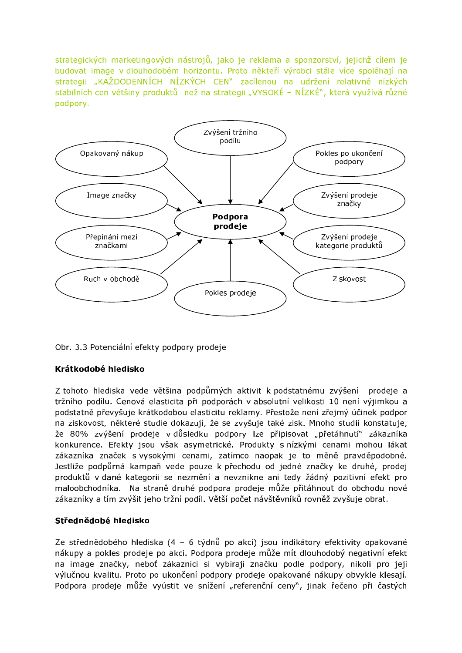strategických marketingových nástrojů, jako je reklama a sponzorství, jejichž cílem je budovat image v dlouhodobém horizontu. Proto někteří výrobci stále více spoléhají na strategii "KAŽDODENNÍCH NÍZKÝCH CEN" zacílenou na udržení relativně nízkých stabilních cen většiny produktů než na strategii "VYSOKÉ – NÍZKÉ", která využívá různé podpory.



Obr. 3.3 Potenciální efekty podpory prodeje

### Krátkodobé hledisko

Z tohoto hlediska vede většina podpůrných aktivit k podstatnému zvýšení prodeje a tržního podílu. Cenová elasticita při podporách v absolutní velikosti 10 není výjimkou a podstatně převyšuje krátkodobou elasticitu reklamy. Přestože není zřejmý účinek podpor na ziskovost, některé studie dokazují, že se zvyšuje také zisk. Mnoho studií konstatuje, že 80% zvýšení prodeje v důsledku podpory lze připisovat "přetáhnutí" zákazníka konkurence. Efekty jsou však asymetrické. Produkty s nízkými cenami mohou lákat zákazníka značek s vysokými cenami, zatímco naopak je to měně pravděpodobné. Jestliže podpůrná kampaň vede pouze k přechodu od jedné značky ke druhé, prodej produktů v dané kategorii se nezmění a nevznikne ani tedy žádný pozitivní efekt pro maloobchodníka. Na straně druhé podpora prodeje může přitáhnout do obchodu nové zákazníky a tím zvýšit jeho tržní podíl. Větší počet návštěvníků rovněž zvyšuje obrat.

#### Střednědobé hledisko

Ze střednědobého hlediska (4 - 6 týdnů po akci) jsou indikátory efektivity opakované nákupy a pokles prodeje po akci. Podpora prodeje může mít dlouhodobý negativní efekt na image značky, neboť zákazníci si vybírají značku podle podpory, nikoli pro její výlučnou kvalitu. Proto po ukončení podpory prodeje opakované nákupy obvykle klesají. Podpora prodeje může vyústit ve snížení "referenční ceny", jinak řečeno při častých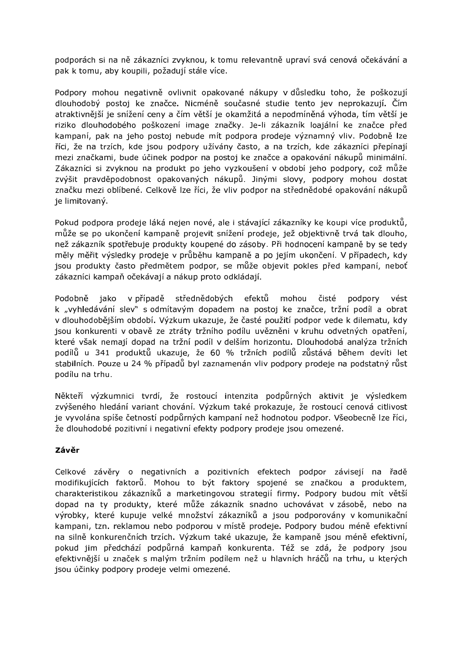podporách si na ně zákazníci zvyknou, k tomu relevantně upraví svá cenová očekávání a pak k tomu, aby koupili, požadují stále více.

Podpory mohou negativně ovlivnit opakované nákupy v důsledku toho, že poškozují dlouhodobý postoj ke značce. Nicméně současné studie tento jev neprokazují. Čím atraktivnější je snížení ceny a čím větší je okamžitá a nepodmíněná výhoda, tím větší je riziko dlouhodobého poškození image značky. Je-li zákazník loajální ke značce před kampaní, pak na jeho postoj nebude mít podpora prodeje významný vliv. Podobně lze říci, že na trzích, kde jsou podpory užívány často, a na trzích, kde zákazníci přepínají mezi značkami, bude účinek podpor na postoj ke značce a opakování nákupů minimální. Zákazníci si zvyknou na produkt po jeho vyzkoušení v období jeho podpory, což může zvýšit pravděpodobnost opakovaných nákupů. Jinými slovy, podpory mohou dostat značku mezi oblíbené. Celkově lze říci, že vliv podpor na střednědobé opakování nákupů ie limitovaný.

Pokud podpora prodeje láká nejen nové, ale i stávající zákazníky ke koupi více produktů, může se po ukončení kampaně projevit snížení prodeje, jež objektivně trvá tak dlouho, než zákazník spotřebuje produkty koupené do zásoby. Při hodnocení kampaně by se tedy měly měřit výsledky prodeje v průběhu kampaně a po jejím ukončení. V případech, kdy jsou produkty často předmětem podpor, se může objevit pokles před kampaní, neboť zákazníci kampaň očekávají a nákup proto odkládají.

střednědobých efektů mohou čisté Podobně jako v případě podpory vést k "vyhledávání slev" s odmítavým dopadem na postoj ke značce, tržní podíl a obrat v dlouhodobějším období. Výzkum ukazuje, že časté použití podpor vede k dilematu, kdy jsou konkurenti v obavě ze ztráty tržního podílu uvězněni v kruhu odvetných opatření, které však nemají dopad na tržní podíl v delším horizontu. Dlouhodobá analýza tržních podílů u 341 produktů ukazuje, že 60 % tržních podílů zůstává během devíti let stabilních. Pouze u 24 % případů byl zaznamenán vliv podpory prodeje na podstatný růst podílu na trhu.

Někteří výzkumnici tvrdí, že rostoucí intenzita podpůrných aktivit je výsledkem zvýšeného hledání variant chování. Výzkum také prokazuje, že rostoucí cenová citlivost je vyvolána spíše četností podpůrných kampaní než hodnotou podpor. Všeobecně lze říci, že dlouhodobé pozitivní i negativní efekty podpory prodeje jsou omezené.

# Závěr

Celkové závěry o negativních a pozitivních efektech podpor závisejí na řadě modifikujících faktorů. Mohou to být faktory spojené se značkou a produktem, charakteristikou zákazníků a marketingovou strategií firmy. Podpory budou mít větší dopad na ty produkty, které může zákazník snadno uchovávat v zásobě, nebo na výrobky, které kupuje velké množství zákazníků a jsou podporovány v komunikační kampani, tzn. reklamou nebo podporou v místě prodeje. Podpory budou méně efektivní na silně konkurenčních trzích. Výzkum také ukazuje, že kampaně jsou méně efektivní, pokud jim předchází podpůrná kampaň konkurenta. Též se zdá, že podpory jsou efektivnější u značek s malým tržním podílem než u hlavních hráčů na trhu, u kterých jsou účinky podpory prodeje velmi omezené.